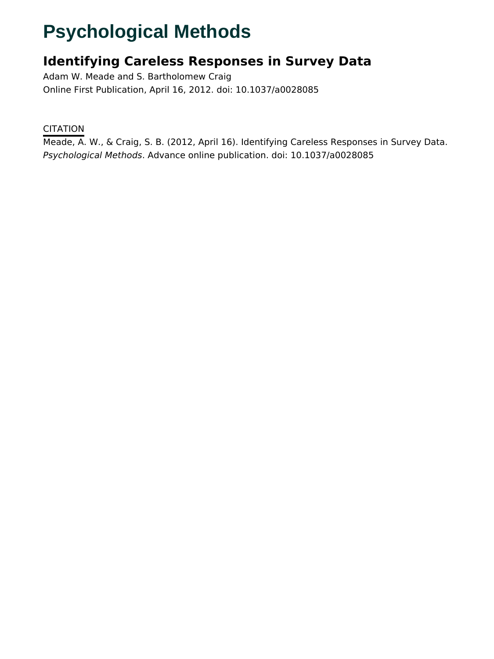# **Psychological Methods**

# **Identifying Careless Responses in Survey Data**

Adam W. Meade and S. Bartholomew Craig Online First Publication, April 16, 2012. doi: 10.1037/a0028085

### CITATION

Meade, A. W., & Craig, S. B. (2012, April 16). Identifying Careless Responses in Survey Data. Psychological Methods. Advance online publication. doi: 10.1037/a0028085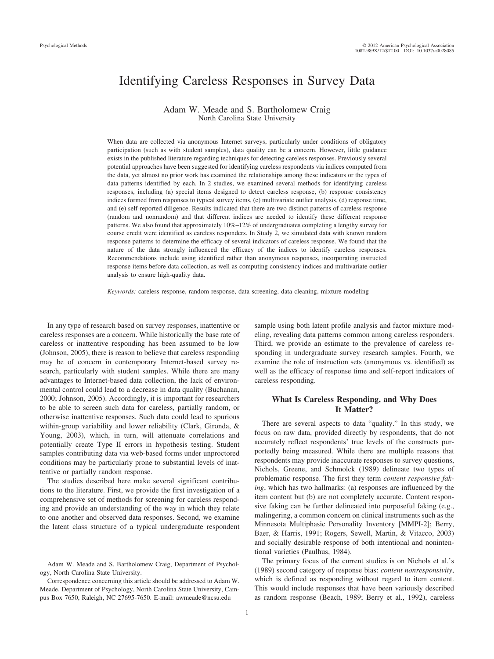## Identifying Careless Responses in Survey Data

#### Adam W. Meade and S. Bartholomew Craig North Carolina State University

When data are collected via anonymous Internet surveys, particularly under conditions of obligatory participation (such as with student samples), data quality can be a concern. However, little guidance exists in the published literature regarding techniques for detecting careless responses. Previously several potential approaches have been suggested for identifying careless respondents via indices computed from the data, yet almost no prior work has examined the relationships among these indicators or the types of data patterns identified by each. In 2 studies, we examined several methods for identifying careless responses, including (a) special items designed to detect careless response, (b) response consistency indices formed from responses to typical survey items, (c) multivariate outlier analysis, (d) response time, and (e) self-reported diligence. Results indicated that there are two distinct patterns of careless response (random and nonrandom) and that different indices are needed to identify these different response patterns. We also found that approximately 10%–12% of undergraduates completing a lengthy survey for course credit were identified as careless responders. In Study 2, we simulated data with known random response patterns to determine the efficacy of several indicators of careless response. We found that the nature of the data strongly influenced the efficacy of the indices to identify careless responses. Recommendations include using identified rather than anonymous responses, incorporating instructed response items before data collection, as well as computing consistency indices and multivariate outlier analysis to ensure high-quality data.

*Keywords:* careless response, random response, data screening, data cleaning, mixture modeling

In any type of research based on survey responses, inattentive or careless responses are a concern. While historically the base rate of careless or inattentive responding has been assumed to be low (Johnson, 2005), there is reason to believe that careless responding may be of concern in contemporary Internet-based survey research, particularly with student samples. While there are many advantages to Internet-based data collection, the lack of environmental control could lead to a decrease in data quality (Buchanan, 2000; Johnson, 2005). Accordingly, it is important for researchers to be able to screen such data for careless, partially random, or otherwise inattentive responses. Such data could lead to spurious within-group variability and lower reliability (Clark, Gironda, & Young, 2003), which, in turn, will attenuate correlations and potentially create Type II errors in hypothesis testing. Student samples contributing data via web-based forms under unproctored conditions may be particularly prone to substantial levels of inattentive or partially random response.

The studies described here make several significant contributions to the literature. First, we provide the first investigation of a comprehensive set of methods for screening for careless responding and provide an understanding of the way in which they relate to one another and observed data responses. Second, we examine the latent class structure of a typical undergraduate respondent

sample using both latent profile analysis and factor mixture modeling, revealing data patterns common among careless responders. Third, we provide an estimate to the prevalence of careless responding in undergraduate survey research samples. Fourth, we examine the role of instruction sets (anonymous vs. identified) as well as the efficacy of response time and self-report indicators of careless responding.

#### **What Is Careless Responding, and Why Does It Matter?**

There are several aspects to data "quality." In this study, we focus on raw data, provided directly by respondents, that do not accurately reflect respondents' true levels of the constructs purportedly being measured. While there are multiple reasons that respondents may provide inaccurate responses to survey questions, Nichols, Greene, and Schmolck (1989) delineate two types of problematic response. The first they term *content responsive faking*, which has two hallmarks: (a) responses are influenced by the item content but (b) are not completely accurate. Content responsive faking can be further delineated into purposeful faking (e.g., malingering, a common concern on clinical instruments such as the Minnesota Multiphasic Personality Inventory [MMPI-2]; Berry, Baer, & Harris, 1991; Rogers, Sewell, Martin, & Vitacco, 2003) and socially desirable response of both intentional and nonintentional varieties (Paulhus, 1984).

The primary focus of the current studies is on Nichols et al.'s (1989) second category of response bias: *content nonresponsivity*, which is defined as responding without regard to item content. This would include responses that have been variously described as random response (Beach, 1989; Berry et al., 1992), careless

Adam W. Meade and S. Bartholomew Craig, Department of Psychology, North Carolina State University.

Correspondence concerning this article should be addressed to Adam W. Meade, Department of Psychology, North Carolina State University, Campus Box 7650, Raleigh, NC 27695-7650. E-mail: awmeade@ncsu.edu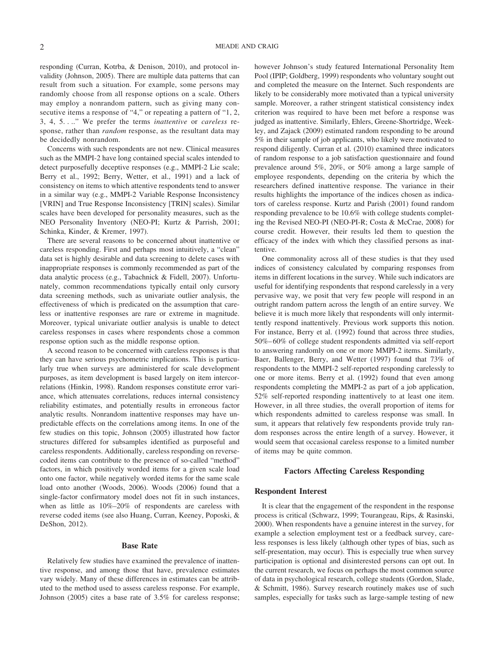responding (Curran, Kotrba, & Denison, 2010), and protocol invalidity (Johnson, 2005). There are multiple data patterns that can result from such a situation. For example, some persons may randomly choose from all response options on a scale. Others may employ a nonrandom pattern, such as giving many consecutive items a response of "4," or repeating a pattern of "1, 2, 3, 4, 5. . .." We prefer the terms *inattentive* or *careless* response, rather than *random* response, as the resultant data may be decidedly nonrandom.

Concerns with such respondents are not new. Clinical measures such as the MMPI-2 have long contained special scales intended to detect purposefully deceptive responses (e.g., MMPI-2 Lie scale; Berry et al., 1992; Berry, Wetter, et al., 1991) and a lack of consistency on items to which attentive respondents tend to answer in a similar way (e.g., MMPI-2 Variable Response Inconsistency [VRIN] and True Response Inconsistency [TRIN] scales). Similar scales have been developed for personality measures, such as the NEO Personality Inventory (NEO-PI; Kurtz & Parrish, 2001; Schinka, Kinder, & Kremer, 1997).

There are several reasons to be concerned about inattentive or careless responding. First and perhaps most intuitively, a "clean" data set is highly desirable and data screening to delete cases with inappropriate responses is commonly recommended as part of the data analytic process (e.g., Tabachnick & Fidell, 2007). Unfortunately, common recommendations typically entail only cursory data screening methods, such as univariate outlier analysis, the effectiveness of which is predicated on the assumption that careless or inattentive responses are rare or extreme in magnitude. Moreover, typical univariate outlier analysis is unable to detect careless responses in cases where respondents chose a common response option such as the middle response option.

A second reason to be concerned with careless responses is that they can have serious psychometric implications. This is particularly true when surveys are administered for scale development purposes, as item development is based largely on item intercorrelations (Hinkin, 1998). Random responses constitute error variance, which attenuates correlations, reduces internal consistency reliability estimates, and potentially results in erroneous factor analytic results. Nonrandom inattentive responses may have unpredictable effects on the correlations among items. In one of the few studies on this topic, Johnson (2005) illustrated how factor structures differed for subsamples identified as purposeful and careless respondents. Additionally, careless responding on reversecoded items can contribute to the presence of so-called "method" factors, in which positively worded items for a given scale load onto one factor, while negatively worded items for the same scale load onto another (Woods, 2006). Woods (2006) found that a single-factor confirmatory model does not fit in such instances, when as little as 10%–20% of respondents are careless with reverse coded items (see also Huang, Curran, Keeney, Poposki, & DeShon, 2012).

#### **Base Rate**

Relatively few studies have examined the prevalence of inattentive response, and among those that have, prevalence estimates vary widely. Many of these differences in estimates can be attributed to the method used to assess careless response. For example, Johnson (2005) cites a base rate of 3.5% for careless response;

however Johnson's study featured International Personality Item Pool (IPIP; Goldberg, 1999) respondents who voluntary sought out and completed the measure on the Internet. Such respondents are likely to be considerably more motivated than a typical university sample. Moreover, a rather stringent statistical consistency index criterion was required to have been met before a response was judged as inattentive. Similarly, Ehlers, Greene-Shortridge, Weekley, and Zajack (2009) estimated random responding to be around 5% in their sample of job applicants, who likely were motivated to respond diligently. Curran et al. (2010) examined three indicators of random response to a job satisfaction questionnaire and found prevalence around 5%, 20%, or 50% among a large sample of employee respondents, depending on the criteria by which the researchers defined inattentive response. The variance in their results highlights the importance of the indices chosen as indicators of careless response. Kurtz and Parish (2001) found random responding prevalence to be 10.6% with college students completing the Revised NEO-PI (NEO-PI-R; Costa & McCrae, 2008) for course credit. However, their results led them to question the efficacy of the index with which they classified persons as inattentive.

One commonality across all of these studies is that they used indices of consistency calculated by comparing responses from items in different locations in the survey. While such indicators are useful for identifying respondents that respond carelessly in a very pervasive way, we posit that very few people will respond in an outright random pattern across the length of an entire survey. We believe it is much more likely that respondents will only intermittently respond inattentively. Previous work supports this notion. For instance, Berry et al. (1992) found that across three studies, 50%– 60% of college student respondents admitted via self-report to answering randomly on one or more MMPI-2 items. Similarly, Baer, Ballenger, Berry, and Wetter (1997) found that 73% of respondents to the MMPI-2 self-reported responding carelessly to one or more items. Berry et al. (1992) found that even among respondents completing the MMPI-2 as part of a job application, 52% self-reported responding inattentively to at least one item. However, in all three studies, the overall proportion of items for which respondents admitted to careless response was small. In sum, it appears that relatively few respondents provide truly random responses across the entire length of a survey. However, it would seem that occasional careless response to a limited number of items may be quite common.

#### **Factors Affecting Careless Responding**

#### **Respondent Interest**

It is clear that the engagement of the respondent in the response process is critical (Schwarz, 1999; Tourangeau, Rips, & Rasinski, 2000). When respondents have a genuine interest in the survey, for example a selection employment test or a feedback survey, careless responses is less likely (although other types of bias, such as self-presentation, may occur). This is especially true when survey participation is optional and disinterested persons can opt out. In the current research, we focus on perhaps the most common source of data in psychological research, college students (Gordon, Slade, & Schmitt, 1986). Survey research routinely makes use of such samples, especially for tasks such as large-sample testing of new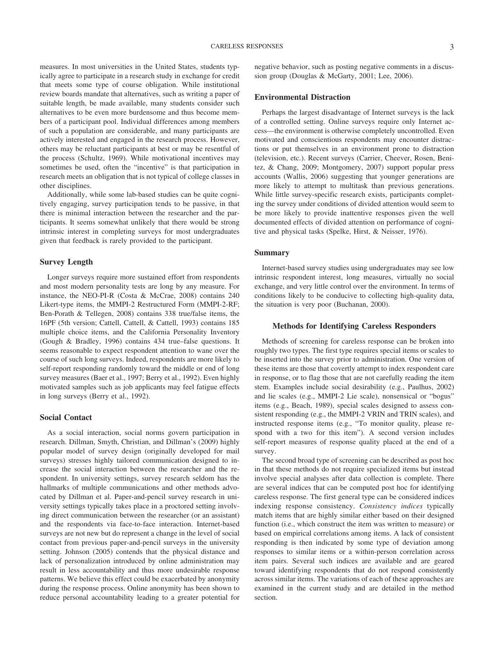measures. In most universities in the United States, students typically agree to participate in a research study in exchange for credit that meets some type of course obligation. While institutional review boards mandate that alternatives, such as writing a paper of suitable length, be made available, many students consider such alternatives to be even more burdensome and thus become members of a participant pool. Individual differences among members of such a population are considerable, and many participants are actively interested and engaged in the research process. However, others may be reluctant participants at best or may be resentful of the process (Schultz, 1969). While motivational incentives may sometimes be used, often the "incentive" is that participation in research meets an obligation that is not typical of college classes in other disciplines.

Additionally, while some lab-based studies can be quite cognitively engaging, survey participation tends to be passive, in that there is minimal interaction between the researcher and the participants. It seems somewhat unlikely that there would be strong intrinsic interest in completing surveys for most undergraduates given that feedback is rarely provided to the participant.

#### **Survey Length**

Longer surveys require more sustained effort from respondents and most modern personality tests are long by any measure. For instance, the NEO-PI-R (Costa & McCrae, 2008) contains 240 Likert-type items, the MMPI-2 Restructured Form (MMPI-2-RF; Ben-Porath & Tellegen, 2008) contains 338 true/false items, the 16PF (5th version; Cattell, Cattell, & Cattell, 1993) contains 185 multiple choice items, and the California Personality Inventory (Gough & Bradley, 1996) contains 434 true–false questions. It seems reasonable to expect respondent attention to wane over the course of such long surveys. Indeed, respondents are more likely to self-report responding randomly toward the middle or end of long survey measures (Baer et al., 1997; Berry et al., 1992). Even highly motivated samples such as job applicants may feel fatigue effects in long surveys (Berry et al., 1992).

#### **Social Contact**

As a social interaction, social norms govern participation in research. Dillman, Smyth, Christian, and Dillman's (2009) highly popular model of survey design (originally developed for mail surveys) stresses highly tailored communication designed to increase the social interaction between the researcher and the respondent. In university settings, survey research seldom has the hallmarks of multiple communications and other methods advocated by Dillman et al. Paper-and-pencil survey research in university settings typically takes place in a proctored setting involving direct communication between the researcher (or an assistant) and the respondents via face-to-face interaction. Internet-based surveys are not new but do represent a change in the level of social contact from previous paper-and-pencil surveys in the university setting. Johnson (2005) contends that the physical distance and lack of personalization introduced by online administration may result in less accountability and thus more undesirable response patterns. We believe this effect could be exacerbated by anonymity during the response process. Online anonymity has been shown to reduce personal accountability leading to a greater potential for

negative behavior, such as posting negative comments in a discussion group (Douglas & McGarty, 2001; Lee, 2006).

#### **Environmental Distraction**

Perhaps the largest disadvantage of Internet surveys is the lack of a controlled setting. Online surveys require only Internet access—the environment is otherwise completely uncontrolled. Even motivated and conscientious respondents may encounter distractions or put themselves in an environment prone to distraction (television, etc.). Recent surveys (Carrier, Cheever, Rosen, Benitez, & Chang, 2009; Montgomery, 2007) support popular press accounts (Wallis, 2006) suggesting that younger generations are more likely to attempt to multitask than previous generations. While little survey-specific research exists, participants completing the survey under conditions of divided attention would seem to be more likely to provide inattentive responses given the well documented effects of divided attention on performance of cognitive and physical tasks (Spelke, Hirst, & Neisser, 1976).

#### **Summary**

Internet-based survey studies using undergraduates may see low intrinsic respondent interest, long measures, virtually no social exchange, and very little control over the environment. In terms of conditions likely to be conducive to collecting high-quality data, the situation is very poor (Buchanan, 2000).

#### **Methods for Identifying Careless Responders**

Methods of screening for careless response can be broken into roughly two types. The first type requires special items or scales to be inserted into the survey prior to administration. One version of these items are those that covertly attempt to index respondent care in response, or to flag those that are not carefully reading the item stem. Examples include social desirability (e.g., Paulhus, 2002) and lie scales (e.g., MMPI-2 Lie scale), nonsensical or "bogus" items (e.g., Beach, 1989), special scales designed to assess consistent responding (e.g., the MMPI-2 VRIN and TRIN scales), and instructed response items (e.g., "To monitor quality, please respond with a two for this item"). A second version includes self-report measures of response quality placed at the end of a survey.

The second broad type of screening can be described as post hoc in that these methods do not require specialized items but instead involve special analyses after data collection is complete. There are several indices that can be computed post hoc for identifying careless response. The first general type can be considered indices indexing response consistency. *Consistency indices* typically match items that are highly similar either based on their designed function (i.e., which construct the item was written to measure) or based on empirical correlations among items. A lack of consistent responding is then indicated by some type of deviation among responses to similar items or a within-person correlation across item pairs. Several such indices are available and are geared toward identifying respondents that do not respond consistently across similar items. The variations of each of these approaches are examined in the current study and are detailed in the method section.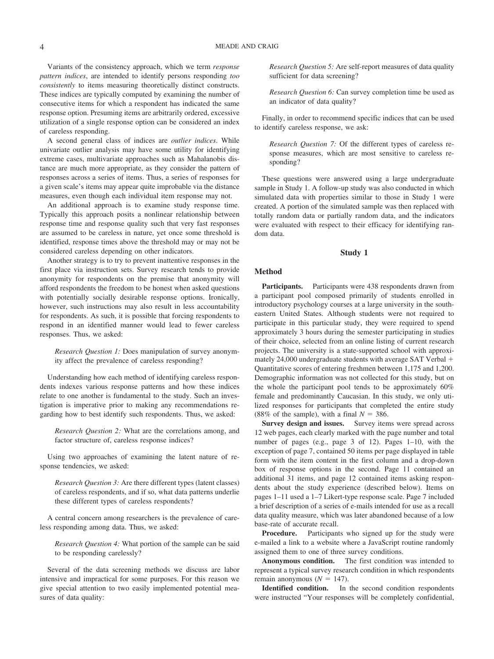Variants of the consistency approach, which we term *response pattern indices*, are intended to identify persons responding *too consistently* to items measuring theoretically distinct constructs. These indices are typically computed by examining the number of consecutive items for which a respondent has indicated the same response option. Presuming items are arbitrarily ordered, excessive utilization of a single response option can be considered an index of careless responding.

A second general class of indices are *outlier indices*. While univariate outlier analysis may have some utility for identifying extreme cases, multivariate approaches such as Mahalanobis distance are much more appropriate, as they consider the pattern of responses across a series of items. Thus, a series of responses for a given scale's items may appear quite improbable via the distance measures, even though each individual item response may not.

An additional approach is to examine study response time. Typically this approach posits a nonlinear relationship between response time and response quality such that very fast responses are assumed to be careless in nature, yet once some threshold is identified, response times above the threshold may or may not be considered careless depending on other indicators.

Another strategy is to try to prevent inattentive responses in the first place via instruction sets. Survey research tends to provide anonymity for respondents on the premise that anonymity will afford respondents the freedom to be honest when asked questions with potentially socially desirable response options. Ironically, however, such instructions may also result in less accountability for respondents. As such, it is possible that forcing respondents to respond in an identified manner would lead to fewer careless responses. Thus, we asked:

*Research Question 1:* Does manipulation of survey anonymity affect the prevalence of careless responding?

Understanding how each method of identifying careless respondents indexes various response patterns and how these indices relate to one another is fundamental to the study. Such an investigation is imperative prior to making any recommendations regarding how to best identify such respondents. Thus, we asked:

*Research Question 2:* What are the correlations among, and factor structure of, careless response indices?

Using two approaches of examining the latent nature of response tendencies, we asked:

*Research Question 3:* Are there different types (latent classes) of careless respondents, and if so, what data patterns underlie these different types of careless respondents?

A central concern among researchers is the prevalence of careless responding among data. Thus, we asked:

*Research Question 4:* What portion of the sample can be said to be responding carelessly?

Several of the data screening methods we discuss are labor intensive and impractical for some purposes. For this reason we give special attention to two easily implemented potential measures of data quality:

*Research Question 5:* Are self-report measures of data quality sufficient for data screening?

*Research Question 6:* Can survey completion time be used as an indicator of data quality?

Finally, in order to recommend specific indices that can be used to identify careless response, we ask:

*Research Question 7:* Of the different types of careless response measures, which are most sensitive to careless responding?

These questions were answered using a large undergraduate sample in Study 1. A follow-up study was also conducted in which simulated data with properties similar to those in Study 1 were created. A portion of the simulated sample was then replaced with totally random data or partially random data, and the indicators were evaluated with respect to their efficacy for identifying random data.

#### **Study 1**

#### **Method**

Participants. Participants were 438 respondents drawn from a participant pool composed primarily of students enrolled in introductory psychology courses at a large university in the southeastern United States. Although students were not required to participate in this particular study, they were required to spend approximately 3 hours during the semester participating in studies of their choice, selected from an online listing of current research projects. The university is a state-supported school with approximately 24,000 undergraduate students with average SAT Verbal Quantitative scores of entering freshmen between 1,175 and 1,200. Demographic information was not collected for this study, but on the whole the participant pool tends to be approximately 60% female and predominantly Caucasian. In this study, we only utilized responses for participants that completed the entire study  $(88\% \text{ of the sample})$ , with a final  $N = 386$ .

**Survey design and issues.** Survey items were spread across 12 web pages, each clearly marked with the page number and total number of pages (e.g., page 3 of 12). Pages 1–10, with the exception of page 7, contained 50 items per page displayed in table form with the item content in the first column and a drop-down box of response options in the second. Page 11 contained an additional 31 items, and page 12 contained items asking respondents about the study experience (described below). Items on pages 1–11 used a 1–7 Likert-type response scale. Page 7 included a brief description of a series of e-mails intended for use as a recall data quality measure, which was later abandoned because of a low base-rate of accurate recall.

**Procedure.** Participants who signed up for the study were e-mailed a link to a website where a JavaScript routine randomly assigned them to one of three survey conditions.

**Anonymous condition.** The first condition was intended to represent a typical survey research condition in which respondents remain anonymous  $(N = 147)$ .

**Identified condition.** In the second condition respondents were instructed "Your responses will be completely confidential,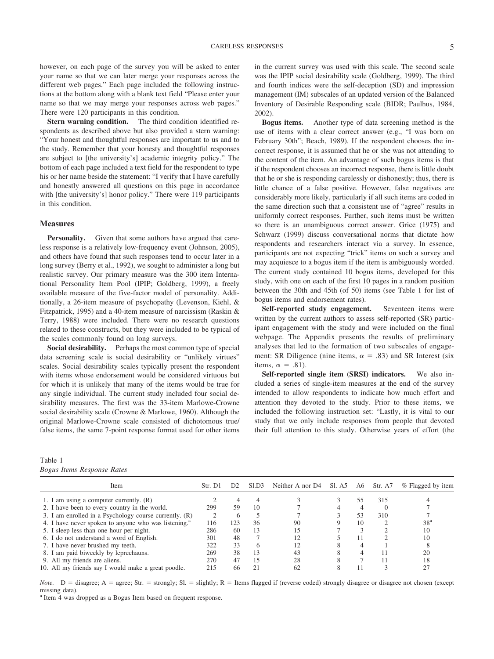however, on each page of the survey you will be asked to enter your name so that we can later merge your responses across the different web pages." Each page included the following instructions at the bottom along with a blank text field "Please enter your name so that we may merge your responses across web pages." There were 120 participants in this condition.

**Stern warning condition.** The third condition identified respondents as described above but also provided a stern warning: "Your honest and thoughtful responses are important to us and to the study. Remember that your honesty and thoughtful responses are subject to [the university's] academic integrity policy." The bottom of each page included a text field for the respondent to type his or her name beside the statement: "I verify that I have carefully and honestly answered all questions on this page in accordance with [the university's] honor policy." There were 119 participants in this condition.

#### **Measures**

Personality. Given that some authors have argued that careless response is a relatively low-frequency event (Johnson, 2005), and others have found that such responses tend to occur later in a long survey (Berry et al., 1992), we sought to administer a long but realistic survey. Our primary measure was the 300 item International Personality Item Pool (IPIP; Goldberg, 1999), a freely available measure of the five-factor model of personality. Additionally, a 26-item measure of psychopathy (Levenson, Kiehl, & Fitzpatrick, 1995) and a 40-item measure of narcissism (Raskin & Terry, 1988) were included. There were no research questions related to these constructs, but they were included to be typical of the scales commonly found on long surveys.

Social desirability. Perhaps the most common type of special data screening scale is social desirability or "unlikely virtues" scales. Social desirability scales typically present the respondent with items whose endorsement would be considered virtuous but for which it is unlikely that many of the items would be true for any single individual. The current study included four social desirability measures. The first was the 33-item Marlowe-Crowne social desirability scale (Crowne & Marlowe, 1960). Although the original Marlowe-Crowne scale consisted of dichotomous true/ false items, the same 7-point response format used for other items

| Table 1 |                            |  |
|---------|----------------------------|--|
|         | Bogus Items Response Rates |  |

. . . . . *.* 

| in the current survey was used with this scale. The second scale   |
|--------------------------------------------------------------------|
| was the IPIP social desirability scale (Goldberg, 1999). The third |
| and fourth indices were the self-deception (SD) and impression     |
| management (IM) subscales of an updated version of the Balanced    |
| Inventory of Desirable Responding scale (BIDR; Paulhus, 1984,      |
| $2002$ ).                                                          |

**Bogus items.** Another type of data screening method is the use of items with a clear correct answer (e.g., "I was born on February 30th"; Beach, 1989). If the respondent chooses the incorrect response, it is assumed that he or she was not attending to the content of the item. An advantage of such bogus items is that if the respondent chooses an incorrect response, there is little doubt that he or she is responding carelessly or dishonestly; thus, there is little chance of a false positive. However, false negatives are considerably more likely, particularly if all such items are coded in the same direction such that a consistent use of "agree" results in uniformly correct responses. Further, such items must be written so there is an unambiguous correct answer. Grice (1975) and Schwarz (1999) discuss conversational norms that dictate how respondents and researchers interact via a survey. In essence, participants are not expecting "trick" items on such a survey and may acquiesce to a bogus item if the item is ambiguously worded. The current study contained 10 bogus items, developed for this study, with one on each of the first 10 pages in a random position between the 30th and 45th (of 50) items (see Table 1 for list of bogus items and endorsement rates).

**Self-reported study engagement.** Seventeen items were written by the current authors to assess self-reported (SR) participant engagement with the study and were included on the final webpage. The Appendix presents the results of preliminary analyses that led to the formation of two subscales of engagement: SR Diligence (nine items,  $\alpha = .83$ ) and SR Interest (six items,  $\alpha = .81$ ).

**Self-reported single item (SRSI) indicators.** We also included a series of single-item measures at the end of the survey intended to allow respondents to indicate how much effort and attention they devoted to the study. Prior to these items, we included the following instruction set: "Lastly, it is vital to our study that we only include responses from people that devoted their full attention to this study. Otherwise years of effort (the

| Str. D1                                                                 | D <sub>2</sub> | S1.D3 |    |   |    | Str. A7                    | % Flagged by item |
|-------------------------------------------------------------------------|----------------|-------|----|---|----|----------------------------|-------------------|
|                                                                         |                |       |    |   |    | 315                        |                   |
| 2. I have been to every country in the world.<br>299                    | 59             | 10    |    |   |    |                            |                   |
| 3. I am enrolled in a Psychology course currently. (R)                  |                |       |    |   | 53 | 310                        |                   |
| 4. I have never spoken to anyone who was listening. <sup>3</sup><br>116 | 123            | 36    | 90 |   | 10 |                            | 38 <sup>a</sup>   |
| 286                                                                     | 60             | 13    | 15 |   |    |                            | 10                |
| 301                                                                     | 48             |       |    |   |    |                            | 10                |
| 322                                                                     | 33             |       |    |   |    |                            |                   |
| 269                                                                     | 38             | 13    | 43 | 8 |    |                            | 20                |
| 270                                                                     | 47             | 15    | 28 | 8 |    |                            | 18                |
| 10. All my friends say I would make a great poodle.<br>215              | 66             | 21    | 62 |   |    |                            | 27                |
|                                                                         |                |       |    |   |    | Neither A nor D4 Sl. A5 A6 |                   |

*Note.* D = disagree; A = agree; Str. = strongly; Sl. = slightly; R = Items flagged if (reverse coded) strongly disagree or disagree not chosen (except missing data).

<sup>a</sup> Item 4 was dropped as a Bogus Item based on frequent response.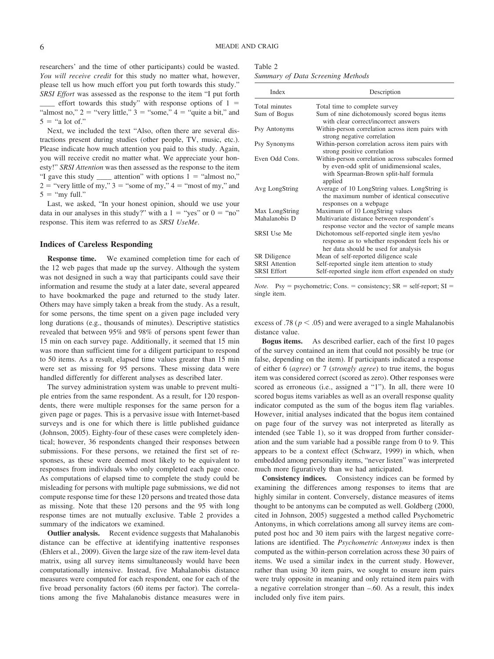| researchers' and the time of other participants) could be wasted.         |
|---------------------------------------------------------------------------|
| You will receive credit for this study no matter what, however,           |
| please tell us how much effort you put forth towards this study."         |
| <i>SRSI Effort</i> was assessed as the response to the item "I put forth" |
| effort towards this study" with response options of $1 =$                 |
| "almost no." $2 =$ "very little," $3 =$ "some," $4 =$ "quite a bit," and  |
| $5$ = "a lot of."                                                         |

Next, we included the text "Also, often there are several distractions present during studies (other people, TV, music, etc.). Please indicate how much attention you paid to this study. Again, you will receive credit no matter what. We appreciate your honesty!" *SRSI Attention* was then assessed as the response to the item "I gave this study  $\frac{1}{\sqrt{2}}$  attention" with options 1 = "almost no,"  $2 =$  "very little of my,"  $3 =$  "some of my,"  $4 =$  "most of my," and  $5 =$  "my full."

Last, we asked, "In your honest opinion, should we use your data in our analyses in this study?" with a  $1 =$  "yes" or  $0 =$  "no" response. This item was referred to as *SRSI UseMe*.

#### **Indices of Careless Responding**

**Response time.** We examined completion time for each of the 12 web pages that made up the survey. Although the system was not designed in such a way that participants could save their information and resume the study at a later date, several appeared to have bookmarked the page and returned to the study later. Others may have simply taken a break from the study. As a result, for some persons, the time spent on a given page included very long durations (e.g., thousands of minutes). Descriptive statistics revealed that between 95% and 98% of persons spent fewer than 15 min on each survey page. Additionally, it seemed that 15 min was more than sufficient time for a diligent participant to respond to 50 items. As a result, elapsed time values greater than 15 min were set as missing for 95 persons. These missing data were handled differently for different analyses as described later.

The survey administration system was unable to prevent multiple entries from the same respondent. As a result, for 120 respondents, there were multiple responses for the same person for a given page or pages. This is a pervasive issue with Internet-based surveys and is one for which there is little published guidance (Johnson, 2005). Eighty-four of these cases were completely identical; however, 36 respondents changed their responses between submissions. For these persons, we retained the first set of responses, as these were deemed most likely to be equivalent to responses from individuals who only completed each page once. As computations of elapsed time to complete the study could be misleading for persons with multiple page submissions, we did not compute response time for these 120 persons and treated those data as missing. Note that these 120 persons and the 95 with long response times are not mutually exclusive. Table 2 provides a summary of the indicators we examined.

**Outlier analysis.** Recent evidence suggests that Mahalanobis distance can be effective at identifying inattentive responses (Ehlers et al., 2009). Given the large size of the raw item-level data matrix, using all survey items simultaneously would have been computationally intensive. Instead, five Mahalanobis distance measures were computed for each respondent, one for each of the five broad personality factors (60 items per factor). The correlations among the five Mahalanobis distance measures were in

| Table 2 |                                   |  |
|---------|-----------------------------------|--|
|         | Summary of Data Screening Methods |  |

| Index                 | Description                                                                                                                                           |
|-----------------------|-------------------------------------------------------------------------------------------------------------------------------------------------------|
| Total minutes         | Total time to complete survey                                                                                                                         |
| Sum of Bogus          | Sum of nine dichotomously scored bogus items<br>with clear correct/incorrect answers                                                                  |
| Psy Antonyms          | Within-person correlation across item pairs with<br>strong negative correlation                                                                       |
| Psy Synonyms          | Within-person correlation across item pairs with<br>strong positive correlation                                                                       |
| Even Odd Cons.        | Within-person correlation across subscales formed<br>by even-odd split of unidimensional scales,<br>with Spearman-Brown split-half formula<br>applied |
| Avg LongString        | Average of 10 LongString values. LongString is<br>the maximum number of identical consecutive<br>responses on a webpage                               |
| Max LongString        | Maximum of 10 LongString values                                                                                                                       |
| Mahalanobis D         | Multivariate distance between respondent's<br>response vector and the vector of sample means                                                          |
| SRSI Use Me           | Dichotomous self-reported single item yes/no<br>response as to whether respondent feels his or<br>her data should be used for analysis                |
| SR Diligence          | Mean of self-reported diligence scale                                                                                                                 |
| <b>SRSI</b> Attention | Self-reported single item attention to study                                                                                                          |
| <b>SRSI</b> Effort    | Self-reported single item effort expended on study                                                                                                    |
|                       |                                                                                                                                                       |

*Note.* Psy = psychometric; Cons. = consistency;  $SR = \text{self-report}$ ;  $SI =$ single item.

excess of .78 ( $p < .05$ ) and were averaged to a single Mahalanobis distance value.

**Bogus items.** As described earlier, each of the first 10 pages of the survey contained an item that could not possibly be true (or false, depending on the item). If participants indicated a response of either 6 (*agree*) or 7 (*strongly agree*) to true items, the bogus item was considered correct (scored as zero). Other responses were scored as erroneous (i.e., assigned a "1"). In all, there were 10 scored bogus items variables as well as an overall response quality indicator computed as the sum of the bogus item flag variables. However, initial analyses indicated that the bogus item contained on page four of the survey was not interpreted as literally as intended (see Table 1), so it was dropped from further consideration and the sum variable had a possible range from 0 to 9. This appears to be a context effect (Schwarz, 1999) in which, when embedded among personality items, "never listen" was interpreted much more figuratively than we had anticipated.

**Consistency indices.** Consistency indices can be formed by examining the differences among responses to items that are highly similar in content. Conversely, distance measures of items thought to be antonyms can be computed as well. Goldberg (2000, cited in Johnson, 2005) suggested a method called Psychometric Antonyms, in which correlations among all survey items are computed post hoc and 30 item pairs with the largest negative correlations are identified. The *Psychometric Antonyms* index is then computed as the within-person correlation across these 30 pairs of items. We used a similar index in the current study. However, rather than using 30 item pairs, we sought to ensure item pairs were truly opposite in meaning and only retained item pairs with a negative correlation stronger than –.60. As a result, this index included only five item pairs.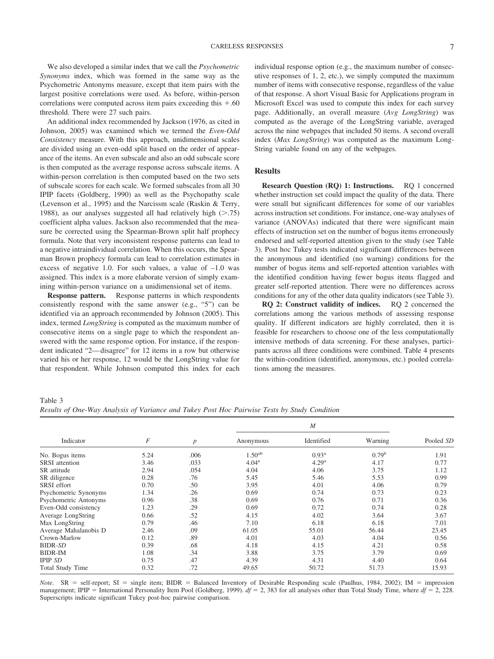We also developed a similar index that we call the *Psychometric Synonyms* index, which was formed in the same way as the Psychometric Antonyms measure, except that item pairs with the largest positive correlations were used. As before, within-person correlations were computed across item pairs exceeding this  $+.60$ threshold. There were 27 such pairs.

An additional index recommended by Jackson (1976, as cited in Johnson, 2005) was examined which we termed the *Even-Odd Consistency* measure. With this approach, unidimensional scales are divided using an even-odd split based on the order of appearance of the items. An even subscale and also an odd subscale score is then computed as the average response across subscale items. A within-person correlation is then computed based on the two sets of subscale scores for each scale. We formed subscales from all 30 IPIP facets (Goldberg, 1990) as well as the Psychopathy scale (Levenson et al., 1995) and the Narcissm scale (Raskin & Terry, 1988), as our analyses suggested all had relatively high  $(2.75)$ coefficient alpha values. Jackson also recommended that the measure be corrected using the Spearman-Brown split half prophecy formula. Note that very inconsistent response patterns can lead to a negative intraindividual correlation. When this occurs, the Spearman Brown prophecy formula can lead to correlation estimates in excess of negative 1.0. For such values, a value of –1.0 was assigned. This index is a more elaborate version of simply examining within-person variance on a unidimensional set of items.

**Response pattern.** Response patterns in which respondents consistently respond with the same answer (e.g., "5") can be identified via an approach recommended by Johnson (2005). This index, termed *LongString* is computed as the maximum number of consecutive items on a single page to which the respondent answered with the same response option. For instance, if the respondent indicated "2— disagree" for 12 items in a row but otherwise varied his or her response, 12 would be the LongString value for that respondent. While Johnson computed this index for each individual response option (e.g., the maximum number of consecutive responses of 1, 2, etc.), we simply computed the maximum number of items with consecutive response, regardless of the value of that response. A short Visual Basic for Applications program in Microsoft Excel was used to compute this index for each survey page. Additionally, an overall measure (*Avg LongString*) was computed as the average of the LongString variable, averaged across the nine webpages that included 50 items. A second overall index (*Max LongString*) was computed as the maximum Long-String variable found on any of the webpages.

#### **Results**

**Research Question (RQ) 1: Instructions.** RQ 1 concerned whether instruction set could impact the quality of the data. There were small but significant differences for some of our variables across instruction set conditions. For instance, one-way analyses of variance (ANOVAs) indicated that there were significant main effects of instruction set on the number of bogus items erroneously endorsed and self-reported attention given to the study (see Table 3). Post hoc Tukey tests indicated significant differences between the anonymous and identified (no warning) conditions for the number of bogus items and self-reported attention variables with the identified condition having fewer bogus items flagged and greater self-reported attention. There were no differences across conditions for any of the other data quality indicators (see Table 3).

**RQ 2: Construct validity of indices.** RQ 2 concerned the correlations among the various methods of assessing response quality. If different indicators are highly correlated, then it is feasible for researchers to choose one of the less computationally intensive methods of data screening. For these analyses, participants across all three conditions were combined. Table 4 presents the within-condition (identified, anonymous, etc.) pooled correlations among the measures.

Table 3 *Results of One-Way Analysis of Variance and Tukey Post Hoc Pairwise Tests by Study Condition*

|                         |      |                  |                    | M                 |                   |           |
|-------------------------|------|------------------|--------------------|-------------------|-------------------|-----------|
| Indicator               | F    | $\boldsymbol{p}$ | Anonymous          | Identified        | Warning           | Pooled SD |
| No. Bogus items         | 5.24 | .006             | 1.50 <sup>ab</sup> | $0.93^{\rm a}$    | 0.79 <sup>b</sup> | 1.91      |
| <b>SRSI</b> attention   | 3.46 | .033             | 4.04 <sup>a</sup>  | 4.29 <sup>a</sup> | 4.17              | 0.77      |
| SR attitude             | 2.94 | .054             | 4.04               | 4.06              | 3.75              | 1.12      |
| SR diligence            | 0.28 | .76              | 5.45               | 5.46              | 5.53              | 0.99      |
| SRSI effort             | 0.70 | .50              | 3.95               | 4.01              | 4.06              | 0.79      |
| Psychometric Synonyms   | 1.34 | .26              | 0.69               | 0.74              | 0.73              | 0.23      |
| Psychometric Antonyms   | 0.96 | .38              | 0.69               | 0.76              | 0.71              | 0.36      |
| Even-Odd consistency    | 1.23 | .29              | 0.69               | 0.72              | 0.74              | 0.28      |
| Average LongString      | 0.66 | .52              | 4.15               | 4.02              | 3.64              | 3.67      |
| Max LongString          | 0.79 | .46              | 7.10               | 6.18              | 6.18              | 7.01      |
| Average Mahalanobis D   | 2.46 | .09              | 61.05              | 55.01             | 56.44             | 23.45     |
| Crown-Marlow            | 0.12 | .89              | 4.01               | 4.03              | 4.04              | 0.56      |
| BIDR-SD                 | 0.39 | .68              | 4.18               | 4.15              | 4.21              | 0.58      |
| <b>BIDR-IM</b>          | 1.08 | .34              | 3.88               | 3.75              | 3.79              | 0.69      |
| <b>IPIP SD</b>          | 0.75 | .47              | 4.39               | 4.31              | 4.40              | 0.64      |
| <b>Total Study Time</b> | 0.32 | .72              | 49.65              | 50.72             | 51.73             | 15.93     |

Note. SR = self-report; SI = single item; BIDR = Balanced Inventory of Desirable Responding scale (Paulhus, 1984, 2002); IM = impression management; IPIP = International Personality Item Pool (Goldberg, 1999).  $df = 2$ , 383 for all analyses other than Total Study Time, where  $df = 2$ , 228. Superscripts indicate significant Tukey post-hoc pairwise comparison.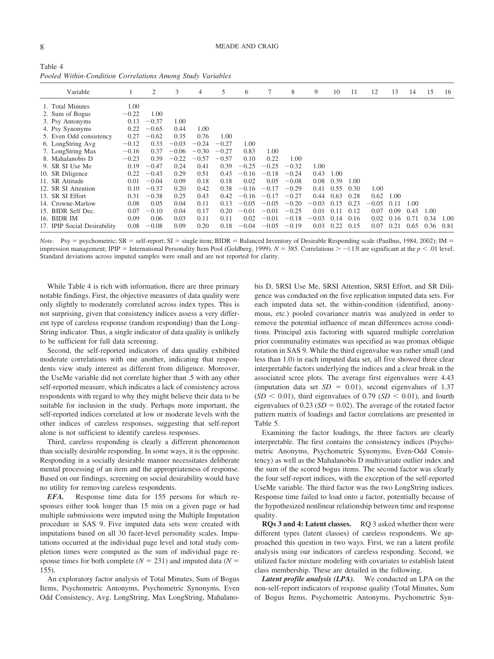| Table 4                                                    |  |  |
|------------------------------------------------------------|--|--|
| Pooled Within-Condition Correlations Among Study Variables |  |  |

| Variable                     |         | $\overline{c}$ | 3       | 4       | 5       | 6       |         | 8       | 9       | 10   | 11   | 12      | 13   | 14   | 15   | 16   |
|------------------------------|---------|----------------|---------|---------|---------|---------|---------|---------|---------|------|------|---------|------|------|------|------|
| 1. Total Minutes             | 1.00    |                |         |         |         |         |         |         |         |      |      |         |      |      |      |      |
| 2. Sum of Bogus              | $-0.22$ | 1.00           |         |         |         |         |         |         |         |      |      |         |      |      |      |      |
| 3. Psy Antonyms              | 0.13    | $-0.37$        | 1.00    |         |         |         |         |         |         |      |      |         |      |      |      |      |
| 4. Psy Synonyms              | 0.22    | $-0.65$        | 0.44    | 1.00    |         |         |         |         |         |      |      |         |      |      |      |      |
| 5. Even Odd consistency      | 0.27    | $-0.62$        | 0.35    | 0.76    | 1.00    |         |         |         |         |      |      |         |      |      |      |      |
| 6. LongString Avg            | $-0.12$ | 0.33           | $-0.03$ | $-0.24$ | $-0.27$ | 1.00    |         |         |         |      |      |         |      |      |      |      |
| 7. LongString Max            | $-0.16$ | 0.37           | $-0.06$ | $-0.30$ | $-0.27$ | 0.83    | 1.00    |         |         |      |      |         |      |      |      |      |
| 8. Mahalanobis D             | $-0.23$ | 0.39           | $-0.22$ | $-0.57$ | $-0.57$ | 0.10    | 0.22    | 1.00    |         |      |      |         |      |      |      |      |
| 9. SR SI Use Me              | 0.19    | $-0.47$        | 0.24    | 0.41    | 0.39    | $-0.25$ | $-0.25$ | $-0.32$ | 1.00    |      |      |         |      |      |      |      |
| 10. SR Diligence             | 0.22    | $-0.43$        | 0.29    | 0.51    | 0.43    | $-0.16$ | $-0.18$ | $-0.24$ | 0.43    | 1.00 |      |         |      |      |      |      |
| 11. SR Attitude              | 0.01    | $-0.04$        | 0.09    | 0.18    | 0.18    | 0.02    | 0.05    | $-0.08$ | 0.08    | 0.39 | 1.00 |         |      |      |      |      |
| 12. SR SI Attention          | 0.10    | $-0.37$        | 0.20    | 0.42    | 0.38    | $-0.16$ | $-0.17$ | $-0.29$ | 0.41    | 0.55 | 0.30 | 1.00    |      |      |      |      |
| 13. SR SI Effort             | 0.31    | $-0.38$        | 0.25    | 0.43    | 0.42    | $-0.16$ | $-0.17$ | $-0.27$ | 0.44    | 0.63 | 0.28 | 0.62    | 1.00 |      |      |      |
| 14. Crowne-Marlow            | 0.08    | 0.05           | 0.04    | 0.11    | 0.13    | $-0.05$ | $-0.05$ | $-0.20$ | $-0.03$ | 0.15 | 0.23 | $-0.05$ | 0.11 | 1.00 |      |      |
| 15. BIDR Self Dec.           | 0.07    | $-0.10$        | 0.04    | 0.17    | 0.20    | $-0.01$ | $-0.01$ | $-0.25$ | 0.01    | 0.11 | 0.12 | 0.07    | 0.09 | 0.45 | 1.00 |      |
| 16. BIDR IM                  | 0.09    | 0.06           | 0.03    | 0.11    | 0.11    | 0.02    | $-0.01$ | $-0.18$ | $-0.03$ | 0.14 | 0.16 | 0.02    | 0.16 | 0.71 | 0.34 | 1.00 |
| 17. IPIP Social Desirability | 0.08    | $-0.08$        | 0.09    | 0.20    | 0.18    | $-0.04$ | $-0.05$ | $-0.19$ | 0.03    | 0.22 | 0.15 | 0.07    | 0.21 | 0.65 | 0.36 | 0.81 |

*Note.* Psy = psychometric; SR = self-report; SI = single item; BIDR = Balanced Inventory of Desirable Responding scale (Paulhus, 1984, 2002); IM = impression management; IPIP = International Personality Item Pool (Goldberg, 1999).  $N = 385$ . Correlations  $> \sim 1.13$  are significant at the  $p < .01$  level. Standard deviations across imputed samples were small and are not reported for clarity.

While Table 4 is rich with information, there are three primary notable findings. First, the objective measures of data quality were only slightly to moderately correlated across index types. This is not surprising, given that consistency indices assess a very different type of careless response (random responding) than the Long-String indicator. Thus, a single indicator of data quality is unlikely to be sufficient for full data screening.

Second, the self-reported indicators of data quality exhibited moderate correlations with one another, indicating that respondents view study interest as different from diligence. Moreover, the UseMe variable did not correlate higher than .5 with any other self-reported measure, which indicates a lack of consistency across respondents with regard to why they might believe their data to be suitable for inclusion in the study. Perhaps more important, the self-reported indices correlated at low or moderate levels with the other indices of careless responses, suggesting that self-report alone is not sufficient to identify careless responses.

Third, careless responding is clearly a different phenomenon than socially desirable responding. In some ways, it is the opposite. Responding in a socially desirable manner necessitates deliberate mental processing of an item and the appropriateness of response. Based on our findings, screening on social desirability would have no utility for removing careless respondents.

*EFA.* Response time data for 155 persons for which responses either took longer than 15 min on a given page or had multiple submissions were imputed using the Multiple Imputation procedure in SAS 9. Five imputed data sets were created with imputations based on all 30 facet-level personality scales. Imputations occurred at the individual page level and total study completion times were computed as the sum of individual page response times for both complete ( $N = 231$ ) and imputed data ( $N =$ 155).

An exploratory factor analysis of Total Minutes, Sum of Bogus Items, Psychometric Antonyms, Psychometric Synonyms, Even Odd Consistency, Avg. LongString, Max LongString, Mahalanobis D, SRSI Use Me, SRSI Attention, SRSI Effort, and SR Diligence was conducted on the five replication imputed data sets. For each imputed data set, the within-condition (identified, anonymous, etc.) pooled covariance matrix was analyzed in order to remove the potential influence of mean differences across conditions. Principal axis factoring with squared multiple correlation prior communality estimates was specified as was promax oblique rotation in SAS 9. While the third eigenvalue was rather small (and less than 1.0) in each imputed data set, all five showed three clear interpretable factors underlying the indices and a clear break in the associated scree plots. The average first eigenvalues were 4.43 (imputation data set  $SD = 0.01$ ), second eigenvalues of 1.37  $(SD < 0.01)$ , third eigenvalues of 0.79 ( $SD < 0.01$ ), and fourth eigenvalues of  $0.23$  ( $SD = 0.02$ ). The average of the rotated factor pattern matrix of loadings and factor correlations are presented in Table 5.

Examining the factor loadings, the three factors are clearly interpretable. The first contains the consistency indices (Psychometric Anonyms, Psychometric Synonyms, Even-Odd Consistency) as well as the Mahalanobis D multivariate outlier index and the sum of the scored bogus items. The second factor was clearly the four self-report indices, with the exception of the self-reported UseMe variable. The third factor was the two LongString indices. Response time failed to load onto a factor, potentially because of the hypothesized nonlinear relationship between time and response quality.

**RQs 3 and 4: Latent classes.** RQ 3 asked whether there were different types (latent classes) of careless respondents. We approached this question in two ways. First, we ran a latent profile analysis using our indicators of careless responding. Second, we utilized factor mixture modeling with covariates to establish latent class membership. These are detailed in the following.

*Latent profile analysis (LPA).* We conducted an LPA on the non-self-report indicators of response quality (Total Minutes, Sum of Bogus Items, Psychometric Antonyms, Psychometric Syn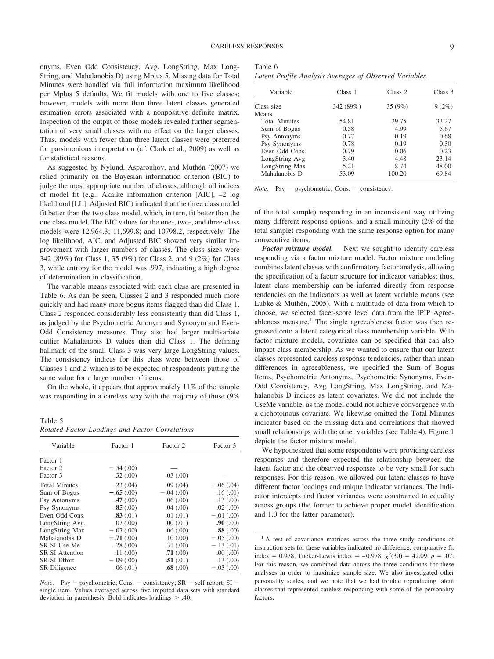onyms, Even Odd Consistency, Avg. LongString, Max Long-String, and Mahalanobis D) using Mplus 5. Missing data for Total Minutes were handled via full information maximum likelihood per Mplus 5 defaults. We fit models with one to five classes; however, models with more than three latent classes generated estimation errors associated with a nonpositive definite matrix. Inspection of the output of those models revealed further segmentation of very small classes with no effect on the larger classes. Thus, models with fewer than three latent classes were preferred for parsimonious interpretation (cf. Clark et al., 2009) as well as for statistical reasons.

As suggested by Nylund, Asparouhov, and Muthén (2007) we relied primarily on the Bayesian information criterion (BIC) to judge the most appropriate number of classes, although all indices of model fit (e.g., Akaike information criterion [AIC], –2 log likelihood [LL], Adjusted BIC) indicated that the three class model fit better than the two class model, which, in turn, fit better than the one class model. The BIC values for the one-, two-, and three-class models were 12,964.3; 11,699.8; and 10798.2, respectively. The log likelihood, AIC, and Adjusted BIC showed very similar improvement with larger numbers of classes. The class sizes were 342 (89%) for Class 1, 35 (9%) for Class 2, and 9 (2%) for Class 3, while entropy for the model was .997, indicating a high degree of determination in classification.

The variable means associated with each class are presented in Table 6. As can be seen, Classes 2 and 3 responded much more quickly and had many more bogus items flagged than did Class 1. Class 2 responded considerably less consistently than did Class 1, as judged by the Psychometric Anonym and Synonym and Even-Odd Consistency measures. They also had larger multivariate outlier Mahalanobis D values than did Class 1. The defining hallmark of the small Class 3 was very large LongString values. The consistency indices for this class were between those of Classes 1 and 2, which is to be expected of respondents putting the same value for a large number of items.

On the whole, it appears that approximately 11% of the sample was responding in a careless way with the majority of those (9%

Table 5 *Rotated Factor Loadings and Factor Correlations*

| Variable               | Factor 1    | Factor 2    | Factor 3    |
|------------------------|-------------|-------------|-------------|
| Factor 1               |             |             |             |
| Factor 2               | $-.54(.00)$ |             |             |
| Factor 3               | .32(.00)    | .03(.00)    |             |
| <b>Total Minutes</b>   | .23(.04)    | .09(0.04)   | $-.06(.04)$ |
| Sum of Bogus           | $-.65(.00)$ | $-.04(.00)$ | .16(.01)    |
| Psy Antonyms           | .47(.00)    | .06(.00)    | .13(.00)    |
| Psy Synonyms           | .85(.00)    | .04(.00)    | .02(.00)    |
| Even Odd Cons.         | .83(.01)    | .01(.01)    | $-.01(.00)$ |
| LongString Avg.        | .07(.00)    | .00(0.01)   | .90(.00)    |
| LongString Max         | $-.03(.00)$ | .06(.00)    | .88(.00)    |
| Mahalanobis D          | $-.71(.00)$ | .10(0.00)   | $-.05(.00)$ |
| SR SI Use Me           | .28(.00)    | .31(.00)    | $-.13(.01)$ |
| <b>SR SI Attention</b> | .11(00)     | .71(.00)    | .00(.00)    |
| <b>SR SI Effort</b>    | $-.09(.00)$ | .51(.01)    | .13(.00)    |
| SR Diligence           | .06(.01)    | .68(.00)    | $-.03(.00)$ |

*Note.* Psy = psychometric; Cons. = consistency;  $SR = self-report$ ;  $SI =$ single item. Values averaged across five imputed data sets with standard deviation in parenthesis. Bold indicates loadings  $> .40$ .

Table 6 *Latent Profile Analysis Averages of Observed Variables*

| Variable             | Class 1   | Class <sub>2</sub> | Class 3 |
|----------------------|-----------|--------------------|---------|
| Class size           | 342 (89%) | 35(9%)             | 9(2%)   |
| Means                |           |                    |         |
| <b>Total Minutes</b> | 54.81     | 29.75              | 33.27   |
| Sum of Bogus         | 0.58      | 4.99               | 5.67    |
| Psy Antonyms         | 0.77      | 0.19               | 0.68    |
| Psy Synonyms         | 0.78      | 0.19               | 0.30    |
| Even Odd Cons.       | 0.79      | 0.06               | 0.23    |
| LongString Avg       | 3.40      | 4.48               | 23.14   |
| LongString Max       | 5.21      | 8.74               | 48.00   |
| Mahalanobis D        | 53.09     | 100.20             | 69.84   |
|                      |           |                    |         |

 $Note.$  Psy = psychometric; Cons. = consistency.

of the total sample) responding in an inconsistent way utilizing many different response options, and a small minority (2% of the total sample) responding with the same response option for many consecutive items.

*Factor mixture model.* Next we sought to identify careless responding via a factor mixture model. Factor mixture modeling combines latent classes with confirmatory factor analysis, allowing the specification of a factor structure for indicator variables; thus, latent class membership can be inferred directly from response tendencies on the indicators as well as latent variable means (see Lubke & Muthén,  $2005$ ). With a multitude of data from which to choose, we selected facet-score level data from the IPIP Agreeableness measure.<sup>1</sup> The single agreeableness factor was then regressed onto a latent categorical class membership variable. With factor mixture models, covariates can be specified that can also impact class membership. As we wanted to ensure that our latent classes represented careless response tendencies, rather than mean differences in agreeableness, we specified the Sum of Bogus Items, Psychometric Antonyms, Psychometric Synonyms, Even-Odd Consistency, Avg LongString, Max LongString, and Mahalanobis D indices as latent covariates. We did not include the UseMe variable, as the model could not achieve convergence with a dichotomous covariate. We likewise omitted the Total Minutes indicator based on the missing data and correlations that showed small relationships with the other variables (see Table 4). Figure 1 depicts the factor mixture model.

We hypothesized that some respondents were providing careless responses and therefore expected the relationship between the latent factor and the observed responses to be very small for such responses. For this reason, we allowed our latent classes to have different factor loadings and unique indicator variances. The indicator intercepts and factor variances were constrained to equality across groups (the former to achieve proper model identification and 1.0 for the latter parameter).

<sup>&</sup>lt;sup>1</sup> A test of covariance matrices across the three study conditions of instruction sets for these variables indicated no difference: comparative fit index = 0.978, Tucker-Lewis index =  $-0.978$ ,  $\chi^2(30) = 42.09$ ,  $p = .07$ . For this reason, we combined data across the three conditions for these analyses in order to maximize sample size. We also investigated other personality scales, and we note that we had trouble reproducing latent classes that represented careless responding with some of the personality factors.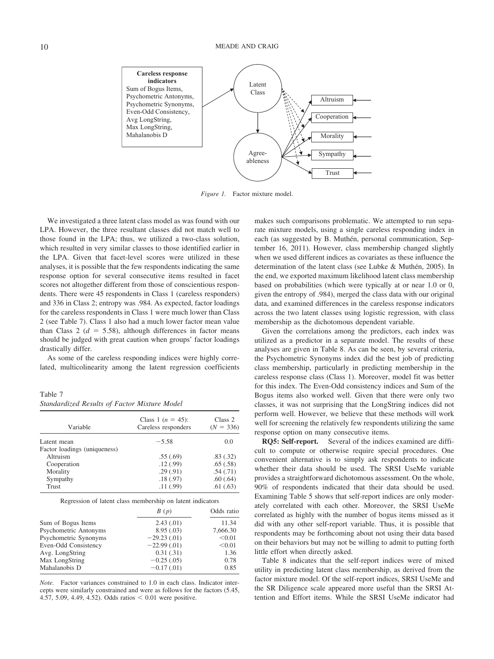

*Figure 1.* Factor mixture model.

We investigated a three latent class model as was found with our LPA. However, the three resultant classes did not match well to those found in the LPA; thus, we utilized a two-class solution, which resulted in very similar classes to those identified earlier in the LPA. Given that facet-level scores were utilized in these analyses, it is possible that the few respondents indicating the same response option for several consecutive items resulted in facet scores not altogether different from those of conscientious respondents. There were 45 respondents in Class 1 (careless responders) and 336 in Class 2; entropy was .984. As expected, factor loadings for the careless respondents in Class 1 were much lower than Class 2 (see Table 7). Class 1 also had a much lower factor mean value than Class  $2 (d = 5.58)$ , although differences in factor means should be judged with great caution when groups' factor loadings drastically differ.

As some of the careless responding indices were highly correlated, multicolinearity among the latent regression coefficients

Table 7 *Standardized Results of Factor Mixture Model*

| Variable                     | Class 1 ( $n = 45$ ):<br>Careless responders | Class 2<br>$(N = 336)$ |
|------------------------------|----------------------------------------------|------------------------|
| Latent mean                  | $-5.58$                                      | 0.0                    |
| Factor loadings (uniqueness) |                                              |                        |
| Altruism                     | .55(.69)                                     | .83(.32)               |
| Cooperation                  | .12(.99)                                     | .65(.58)               |
| Morality                     | .29(.91)                                     | .54(.71)               |
| Sympathy                     | .18(.97)                                     | .60(.64)               |
| Trust                        | .11(.99)                                     | .61(.63)               |

|  |  |  |  | Regression of latent class membership on latent indicators |  |  |  |  |
|--|--|--|--|------------------------------------------------------------|--|--|--|--|
|--|--|--|--|------------------------------------------------------------|--|--|--|--|

|                       | B(p)           | Odds ratio |
|-----------------------|----------------|------------|
| Sum of Bogus Items    | 2.43(0.01)     | 11.34      |
| Psychometric Antonyms | 8.95(.03)      | 7,666.30   |
| Psychometric Synonyms | $-29.23(0.01)$ | < 0.01     |
| Even-Odd Consistency  | $-22.99(.01)$  | < 0.01     |
| Avg. LongString       | 0.31(0.31)     | 1.36       |
| Max LongString        | $-0.25(0.05)$  | 0.78       |
| Mahalanobis D         | $-0.17(0.01)$  | 0.85       |
|                       |                |            |

*Note.* Factor variances constrained to 1.0 in each class. Indicator intercepts were similarly constrained and were as follows for the factors (5.45, 4.57, 5.09, 4.49, 4.52). Odds ratios  $\leq 0.01$  were positive.

makes such comparisons problematic. We attempted to run separate mixture models, using a single careless responding index in each (as suggested by B. Muthén, personal communication, September 16, 2011). However, class membership changed slightly when we used different indices as covariates as these influence the determination of the latent class (see Lubke & Muthén, 2005). In the end, we exported maximum likelihood latent class membership based on probabilities (which were typically at or near 1.0 or 0, given the entropy of .984), merged the class data with our original data, and examined differences in the careless response indicators across the two latent classes using logistic regression, with class membership as the dichotomous dependent variable.

Given the correlations among the predictors, each index was utilized as a predictor in a separate model. The results of these analyses are given in Table 8. As can be seen, by several criteria, the Psychometric Synonyms index did the best job of predicting class membership, particularly in predicting membership in the careless response class (Class 1). Moreover, model fit was better for this index. The Even-Odd consistency indices and Sum of the Bogus items also worked well. Given that there were only two classes, it was not surprising that the LongString indices did not perform well. However, we believe that these methods will work well for screening the relatively few respondents utilizing the same response option on many consecutive items.

**RQ5: Self-report.** Several of the indices examined are difficult to compute or otherwise require special procedures. One convenient alternative is to simply ask respondents to indicate whether their data should be used. The SRSI UseMe variable provides a straightforward dichotomous assessment. On the whole, 90% of respondents indicated that their data should be used. Examining Table 5 shows that self-report indices are only moderately correlated with each other. Moreover, the SRSI UseMe correlated as highly with the number of bogus items missed as it did with any other self-report variable. Thus, it is possible that respondents may be forthcoming about not using their data based on their behaviors but may not be willing to admit to putting forth little effort when directly asked.

Table 8 indicates that the self-report indices were of mixed utility in predicting latent class membership, as derived from the factor mixture model. Of the self-report indices, SRSI UseMe and the SR Diligence scale appeared more useful than the SRSI Attention and Effort items. While the SRSI UseMe indicator had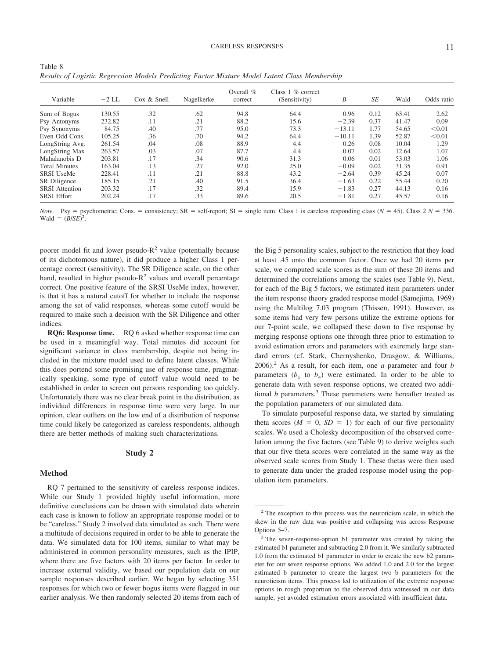|                       | Resuits of Logistic Regression Models Predicting Factor Mixture Model Latent Class Membership |                 |            |                        |                                      |          |      |       |            |
|-----------------------|-----------------------------------------------------------------------------------------------|-----------------|------------|------------------------|--------------------------------------|----------|------|-------|------------|
| Variable              | $-2$ LL                                                                                       | $\cos \&$ Snell | Nagelkerke | Overall $%$<br>correct | Class $1\%$ correct<br>(Sensitivity) | B        | SE   | Wald  | Odds ratio |
| Sum of Bogus          | 130.55                                                                                        | .32             | .62        | 94.8                   | 64.4                                 | 0.96     | 0.12 | 63.41 | 2.62       |
| Psy Antonyms          | 232.82                                                                                        | .11             | .21        | 88.2                   | 15.6                                 | $-2.39$  | 0.37 | 41.47 | 0.09       |
| Psy Synonyms          | 84.75                                                                                         | .40             | .77        | 95.0                   | 73.3                                 | $-13.11$ | 1.77 | 54.65 | < 0.01     |
| Even Odd Cons.        | 105.25                                                                                        | .36             | .70        | 94.2                   | 64.4                                 | $-10.11$ | 1.39 | 52.87 | < 0.01     |
| LongString Avg.       | 261.54                                                                                        | .04             | .08        | 88.9                   | 4.4                                  | 0.26     | 0.08 | 10.04 | 1.29       |
| LongString Max        | 263.57                                                                                        | .03             | .07        | 87.7                   | 4.4                                  | 0.07     | 0.02 | 12.64 | 1.07       |
| Mahalanobis D         | 203.81                                                                                        | .17             | .34        | 90.6                   | 31.3                                 | 0.06     | 0.01 | 53.03 | 1.06       |
| <b>Total Minutes</b>  | 163.04                                                                                        | .13             | .27        | 92.0                   | 25.0                                 | $-0.09$  | 0.02 | 31.35 | 0.91       |
| SRSI UseMe            | 228.41                                                                                        | .11             | .21        | 88.8                   | 43.2                                 | $-2.64$  | 0.39 | 45.24 | 0.07       |
| SR Diligence          | 185.15                                                                                        | .21             | .40        | 91.5                   | 36.4                                 | $-1.63$  | 0.22 | 55.44 | 0.20       |
| <b>SRSI</b> Attention | 203.32                                                                                        | .17             | .32        | 89.4                   | 15.9                                 | $-1.83$  | 0.27 | 44.13 | 0.16       |
| <b>SRSI</b> Effort    | 202.24                                                                                        | .17             | .33        | 89.6                   | 20.5                                 | $-1.81$  | 0.27 | 45.57 | 0.16       |

*Results of Logistic Regression Models Predicting Factor Mixture Model Latent Class Membership*

*Note.* Psy = psychometric; Cons. = consistency;  $SR = self-report$ ;  $SI = single item$ . Class 1 is careless responding class ( $N = 45$ ). Class  $2 N = 336$ . Wald =  $(B/SE)^2$ .

poorer model fit and lower pseudo- $R^2$  value (potentially because of its dichotomous nature), it did produce a higher Class 1 percentage correct (sensitivity). The SR Diligence scale, on the other hand, resulted in higher pseudo- $R^2$  values and overall percentage correct. One positive feature of the SRSI UseMe index, however, is that it has a natural cutoff for whether to include the response among the set of valid responses, whereas some cutoff would be required to make such a decision with the SR Diligence and other indices.

**RQ6: Response time.** RQ 6 asked whether response time can be used in a meaningful way. Total minutes did account for significant variance in class membership, despite not being included in the mixture model used to define latent classes. While this does portend some promising use of response time, pragmatically speaking, some type of cutoff value would need to be established in order to screen out persons responding too quickly. Unfortunately there was no clear break point in the distribution, as individual differences in response time were very large. In our opinion, clear outliers on the low end of a distribution of response time could likely be categorized as careless respondents, although there are better methods of making such characterizations.

#### **Study 2**

#### **Method**

Table 8

RQ 7 pertained to the sensitivity of careless response indices. While our Study 1 provided highly useful information, more definitive conclusions can be drawn with simulated data wherein each case is known to follow an appropriate response model or to be "careless." Study 2 involved data simulated as such. There were a multitude of decisions required in order to be able to generate the data. We simulated data for 100 items, similar to what may be administered in common personality measures, such as the IPIP, where there are five factors with 20 items per factor. In order to increase external validity, we based our population data on our sample responses described earlier. We began by selecting 351 responses for which two or fewer bogus items were flagged in our earlier analysis. We then randomly selected 20 items from each of

the Big 5 personality scales, subject to the restriction that they load at least .45 onto the common factor. Once we had 20 items per scale, we computed scale scores as the sum of these 20 items and determined the correlations among the scales (see Table 9). Next, for each of the Big 5 factors, we estimated item parameters under the item response theory graded response model (Samejima, 1969) using the Multilog 7.03 program (Thissen, 1991). However, as some items had very few persons utilize the extreme options for our 7-point scale, we collapsed these down to five response by merging response options one through three prior to estimation to avoid estimation errors and parameters with extremely large standard errors (cf. Stark, Chernyshenko, Drasgow, & Williams, 2006).2 As a result, for each item, one *a* parameter and four *b* parameters  $(b_1$  to  $b_4$ ) were estimated. In order to be able to generate data with seven response options, we created two additional *b* parameters.<sup>3</sup> These parameters were hereafter treated as the population parameters of our simulated data.

To simulate purposeful response data, we started by simulating theta scores  $(M = 0, SD = 1)$  for each of our five personality scales. We used a Cholesky decomposition of the observed correlation among the five factors (see Table 9) to derive weights such that our five theta scores were correlated in the same way as the observed scale scores from Study 1. These thetas were then used to generate data under the graded response model using the population item parameters.

<sup>2</sup> The exception to this process was the neuroticism scale, in which the skew in the raw data was positive and collapsing was across Response Options 5–7.

<sup>&</sup>lt;sup>3</sup> The seven-response-option b1 parameter was created by taking the estimated b1 parameter and subtracting 2.0 from it. We similarly subtracted 1.0 from the estimated b1 parameter in order to create the new b2 parameter for our seven response options. We added 1.0 and 2.0 for the largest estimated b parameter to create the largest two b parameters for the neuroticism items. This process led to utilization of the extreme response options in rough proportion to the observed data witnessed in our data sample, yet avoided estimation errors associated with insufficient data.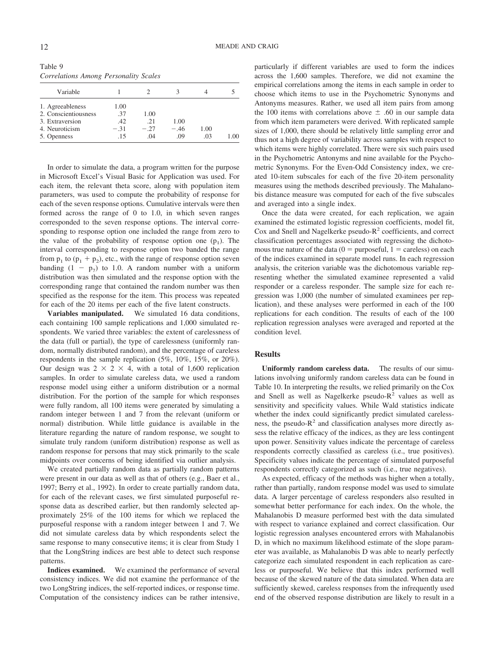Table 9 *Correlations Among Personality Scales*

| Variable             |        |       |        |      |      |
|----------------------|--------|-------|--------|------|------|
| 1. Agreeableness     | 1.00   |       |        |      |      |
| 2. Conscientiousness | .37    | 1.00  |        |      |      |
| 3. Extraversion      | .42    | .21   | 1.00   |      |      |
| 4. Neuroticism       | $-.31$ | $-27$ | $-.46$ | 1.00 |      |
| 5. Openness          | .15    | 04    | .09    | .03  | 1 OO |

In order to simulate the data, a program written for the purpose in Microsoft Excel's Visual Basic for Application was used. For each item, the relevant theta score, along with population item parameters, was used to compute the probability of response for each of the seven response options. Cumulative intervals were then formed across the range of 0 to 1.0, in which seven ranges corresponded to the seven response options. The interval corresponding to response option one included the range from zero to the value of the probability of response option one  $(p_1)$ . The interval corresponding to response option two banded the range from  $p_1$  to  $(p_1 + p_2)$ , etc., with the range of response option seven banding  $(1 - p_7)$  to 1.0. A random number with a uniform distribution was then simulated and the response option with the corresponding range that contained the random number was then specified as the response for the item. This process was repeated for each of the 20 items per each of the five latent constructs.

**Variables manipulated.** We simulated 16 data conditions, each containing 100 sample replications and 1,000 simulated respondents. We varied three variables: the extent of carelessness of the data (full or partial), the type of carelessness (uniformly random, normally distributed random), and the percentage of careless respondents in the sample replication (5%, 10%, 15%, or 20%). Our design was  $2 \times 2 \times 4$ , with a total of 1,600 replication samples. In order to simulate careless data, we used a random response model using either a uniform distribution or a normal distribution. For the portion of the sample for which responses were fully random, all 100 items were generated by simulating a random integer between 1 and 7 from the relevant (uniform or normal) distribution. While little guidance is available in the literature regarding the nature of random response, we sought to simulate truly random (uniform distribution) response as well as random response for persons that may stick primarily to the scale midpoints over concerns of being identified via outlier analysis.

We created partially random data as partially random patterns were present in our data as well as that of others (e.g., Baer et al., 1997; Berry et al., 1992). In order to create partially random data, for each of the relevant cases, we first simulated purposeful response data as described earlier, but then randomly selected approximately 25% of the 100 items for which we replaced the purposeful response with a random integer between 1 and 7. We did not simulate careless data by which respondents select the same response to many consecutive items; it is clear from Study 1 that the LongString indices are best able to detect such response patterns.

**Indices examined.** We examined the performance of several consistency indices. We did not examine the performance of the two LongString indices, the self-reported indices, or response time. Computation of the consistency indices can be rather intensive,

particularly if different variables are used to form the indices across the 1,600 samples. Therefore, we did not examine the empirical correlations among the items in each sample in order to choose which items to use in the Psychometric Synonyms and Antonyms measures. Rather, we used all item pairs from among the 100 items with correlations above  $\pm$  .60 in our sample data from which item parameters were derived. With replicated sample sizes of 1,000, there should be relatively little sampling error and thus not a high degree of variability across samples with respect to which items were highly correlated. There were six such pairs used in the Psychometric Antonyms and nine available for the Psychometric Synonyms. For the Even-Odd Consistency index, we created 10-item subscales for each of the five 20-item personality measures using the methods described previously. The Mahalanobis distance measure was computed for each of the five subscales and averaged into a single index.

Once the data were created, for each replication, we again examined the estimated logistic regression coefficients, model fit, Cox and Snell and Nagelkerke pseudo-R2 coefficients, and correct classification percentages associated with regressing the dichotomous true nature of the data ( $0 =$  purposeful,  $1 =$  careless) on each of the indices examined in separate model runs. In each regression analysis, the criterion variable was the dichotomous variable representing whether the simulated examinee represented a valid responder or a careless responder. The sample size for each regression was 1,000 (the number of simulated examinees per replication), and these analyses were performed in each of the 100 replications for each condition. The results of each of the 100 replication regression analyses were averaged and reported at the condition level.

#### **Results**

**Uniformly random careless data.** The results of our simulations involving uniformly random careless data can be found in Table 10. In interpreting the results, we relied primarily on the Cox and Snell as well as Nagelkerke pseudo- $R<sup>2</sup>$  values as well as sensitivity and specificity values. While Wald statistics indicate whether the index could significantly predict simulated carelessness, the pseudo- $R^2$  and classification analyses more directly assess the relative efficacy of the indices, as they are less contingent upon power. Sensitivity values indicate the percentage of careless respondents correctly classified as careless (i.e., true positives). Specificity values indicate the percentage of simulated purposeful respondents correctly categorized as such (i.e., true negatives).

As expected, efficacy of the methods was higher when a totally, rather than partially, random response model was used to simulate data. A larger percentage of careless responders also resulted in somewhat better performance for each index. On the whole, the Mahalanobis D measure performed best with the data simulated with respect to variance explained and correct classification. Our logistic regression analyses encountered errors with Mahalanobis D, in which no maximum likelihood estimate of the slope parameter was available, as Mahalanobis D was able to nearly perfectly categorize each simulated respondent in each replication as careless or purposeful. We believe that this index performed well because of the skewed nature of the data simulated. When data are sufficiently skewed, careless responses from the infrequently used end of the observed response distribution are likely to result in a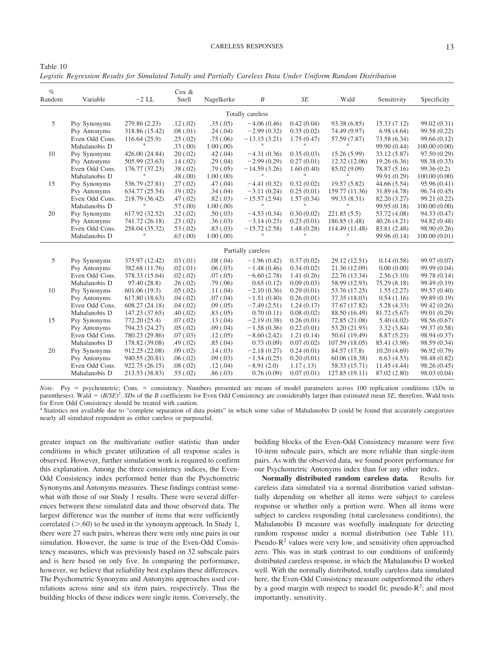#### CARELESS RESPONSES 13

| Table 10                                                                                                        |  |  |  |  |  |  |
|-----------------------------------------------------------------------------------------------------------------|--|--|--|--|--|--|
| Logistic Regression Results for Simulated Totally and Partially Careless Data Under Uniform Random Distribution |  |  |  |  |  |  |

| $\%$<br>Random | Variable       | $-2$ LL        | $\cos \alpha$<br>Snell | Nagelkerke | B                  | SE         | Wald           | Sensitivity  | Specificity   |
|----------------|----------------|----------------|------------------------|------------|--------------------|------------|----------------|--------------|---------------|
|                |                |                |                        |            | Totally careless   |            |                |              |               |
| 5              | Psy Synonyms   | 279.86 (2.23)  | .12(.02)               | .35(.05)   | $-4.06(0.46)$      | 0.42(0.04) | 93.38 (6.85)   | 15.33 (7.12) | 99.02 (0.31)  |
|                | Psy Antonyms   | 318.86 (15.42) | .08(.01)               | .24(.04)   | $-2.99(0.32)$      | 0.35(0.02) | 74.49 (9.97)   | 6.98(4.64)   | 99.58 (0.22)  |
|                | Even Odd Cons. | 116.64 (25.9)  | .25(.02)               | .75(.06)   | $-13.15(3.21)$     | 1.75(0.47) | 57.59 (7.87)   | 73.58 (6.34) | 99.66 (0.12)  |
|                | Mahalanobis D  |                | .33(.00)               | 1.00(.00)  |                    |            |                | 99.90 (0.44) | 100.00(0.00)  |
| 10             | Psy Synonyms   | 426.00 (24.84) | .20(.02)               | .42(.04)   | $-4.31(0.36)$      | 0.35(0.03) | 15.26 (5.99)   | 33.12 (5.87) | 97.50 (0.29)  |
|                | Psy Antonyms   | 505.99 (23.63) | .14(.02)               | .29(.04)   | $-2.99(0.29)$      | 0.27(0.01) | 12.32 (12.06)  | 19.26 (6.36) | 98.38 (0.33)  |
|                | Even Odd Cons. | 176.77 (37.23) | .38(.02)               | .79(0.05)  | $-14.59(3.26)$     | 1.60(0.40) | 85.02 (9.09)   | 78.87 (5.16) | 99.36(0.2)    |
|                | Mahalanobis D  |                | .48(.00)               | 1.00(.00)  |                    |            |                | 99.91 (0.29) | 100.00 (0.00) |
| 15             | Psy Synonyms   | 536.79 (27.81) | .27(.02)               | .47(.04)   | $-4.41(0.32)$      | 0.32(0.02) | 19.57 (5.82)   | 44.66 (5.54) | 95.96 (0.41)  |
|                | Psy Antonyms   | 634.77 (25.54) | .19(.02)               | .34(.04)   | $-3.11(0.24)$      | 0.25(0.01) | 159.77 (11.36) | 31.89 (4.78) | 96.74(0.45)   |
|                | Even Odd Cons. | 218.79 (36.42) | .47(.02)               | .82(.03)   | $-15.57(2.94)$     | 1.57(0.34) | 99.33 (8.31)   | 82.20 (3.27) | 99.21 (0.22)  |
|                | Mahalanobis D  |                | .57(.00)               | 1.00(.00)  |                    |            | $\rm{a}$       | 99.95 (0.18) | 100.00 (0.00) |
| 20             | Psy Synonyms   | 617.92 (32.52) | .32(.02)               | .50(.03)   | $-4.53(0.34)$      | 0.30(0.02) | 221.85(5.5)    | 53.72 (4.08) | 94.33 (0.47)  |
|                | Psy Antonyms   | 741.72 (26.18) | .23(.02)               | .36(.03)   | $-3.14(0.23)$      | 0.23(0.01) | 186.85 (1.48)  | 40.26(4.21)  | 94.82 (0.48)  |
|                | Even Odd Cons. | 258.04 (35.32) | .53(.02)               | .83(.03)   | $-15.72(2.58)$     | 1.48(0.28) | 114.49 (11.48) | 83.81 (2.48) | 98.90 (0.26)  |
|                | Mahalanobis D  |                | .63(.00)               | 1.00(.00)  | a                  | a          | $\rm{a}$       | 99.96 (0.14) | 100.00(0.01)  |
|                |                |                |                        |            | Partially careless |            |                |              |               |
| 5              | Psy Synonyms   | 375.97 (12.42) | .03(.01)               | .08(.04)   | $-1.96(0.42)$      | 0.37(0.02) | 29.12 (12.51)  | 0.14(0.58)   | 99.97 (0.07)  |
|                | Psy Antonyms   | 382.68 (11.76) | .02(0.01)              | .06(.03)   | $-1.48(0.46)$      | 0.34(0.02) | 21.36 (12.09)  | 0.00(0.00)   | 99.99 (0.04)  |
|                | Even Odd Cons. | 378.33 (15.64) | .02(.02)               | .07(.05)   | $-6.60(2.78)$      | 1.41(0.26) | 22.76 (13.34)  | 2.56(3.10)   | 99.78 (0.14)  |
|                | Mahalanobis D  | 97.40 (28.8)   | .26(.02)               | .79(.06)   | 0.65(0.12)         | 0.09(0.03) | 58.99 (12.93)  | 75.29 (8.18) | 99.49 (0.19)  |
| 10             | Psy Synonyms   | 601.06(19.3)   | .05(.02)               | .11(.04)   | $-2.10(0.36)$      | 0.29(0.01) | 53.76 (17.25)  | 1.55(2.27)   | 99.57 (0.40)  |
|                | Psy Antonyms   | 617.80 (18.63) | .04(.02)               | .07(.04)   | $-1.51(0.40)$      | 0.26(0.01) | 37.35 (18.03)  | 0.54(1.16)   | 99.89 (0.19)  |
|                | Even Odd Cons. | 608.27 (24.18) | .04(.02)               | .09(.05)   | $-7.49(2.51)$      | 1.24(0.17) | 37.67 (17.82)  | 5.28(4.33)   | 99.42 (0.26)  |
|                | Mahalanobis D  | 147.23 (37.65) | .40(.02)               | .83(.05)   | 0.70(0.11)         | 0.08(0.02) | 88.50 (16.49)  | 81.72 (5.67) | 99.01 (0.29)  |
| 15             | Psy Synonyms   | 772.20 (25.4)  | .07(.02)               | .13(0.04)  | $-2.19(0.38)$      | 0.26(0.01) | 72.85 (21.08)  | 5.40(4.02)   | 98.56 (0.67)  |
|                | Psy Antonyms   | 794.23 (24.27) | .05(.02)               | .09(0.04)  | $-1.58(0.36)$      | 0.22(0.01) | 53.20 (21.93)  | 3.32(3.84)   | 99.37 (0.58)  |
|                | Even Odd Cons. | 780.23 (29.86) | .07(.03)               | .12(.05)   | $-8.60(2.42)$      | 1.21(0.14) | 50.61 (19.49)  | 8.87(5.23)   | 98.94 (0.37)  |
|                | Mahalanobis D  | 178.82 (39.08) | .49(.02)               | .85(.04)   | 0.73(0.09)         | 0.07(0.02) | 107.59 (18.05) | 85.41 (3.98) | 98.59 (0.34)  |
| 20             | Psy Synonyms   | 912.25 (22.08) | .09(.02)               | .14(.03)   | $-2.18(0.27)$      | 0.24(0.01) | 84.57 (17.8)   | 10.20(4.69)  | 96.92 (0.79)  |
|                | Psy Antonyms   | 940.55 (20.81) | .06(.02)               | .09(.03)   | $-1.54(0.25)$      | 0.20(0.01) | 60.06 (18.38)  | 6.63(4.53)   | 98.48 (0.82)  |
|                | Even Odd Cons. | 922.75 (26.15) | .08(.02)               | .12(.04)   | $-8.91(2.0)$       | 1.17(0.13) | 58.33 (15.71)  | 11.45(4.44)  | 98.26 (0.45)  |
|                | Mahalanobis D  | 213.53 (38.83) | .55(.02)               | .86(.03)   | 0.76(0.09)         | 0.07(0.01) | 127.85 (19.11) | 87.02 (2.80) | 98.03 (0.04)  |

*Note.* Psy = psychometric; Cons. = consistency. Numbers presented are means of model parameters across 100 replication conditions (SDs in parentheses). Wald =  $(B/SE)^2$ . *SDs* of the *B* coefficients for Even Odd Consistency are considerably larger than estimated mean *SE*; therefore, Wald tests for Even Odd Consistency should be treated with caution.

a Statistics not available due to "complete separation of data points" in which some value of Mahalanobis D could be found that accurately categorizes nearly all simulated respondent as either careless or purposeful.

greater impact on the multivariate outlier statistic than under conditions in which greater utilization of all response scales is observed. However, further simulation work is required to confirm this explanation. Among the three consistency indices, the Even-Odd Consistency index performed better than the Psychometric Synonyms and Antonyms measures. These findings contrast somewhat with those of our Study 1 results. There were several differences between these simulated data and those observed data. The largest difference was the number of items that were sufficiently correlated  $(>.60)$  to be used in the synonym approach. In Study 1, there were 27 such pairs, whereas there were only nine pairs in our simulation. However, the same is true of the Even-Odd Consistency measures, which was previously based on 32 subscale pairs and is here based on only five. In comparing the performance, however, we believe that reliability best explains these differences. The Psychometric Synonyms and Antonyms approaches used correlations across nine and six item pairs, respectively. Thus the building blocks of these indices were single items. Conversely, the

building blocks of the Even-Odd Consistency measure were five 10-item subscale pairs, which are more reliable than single-item pairs. As with the observed data, we found poorer performance for our Psychometric Antonyms index than for any other index.

**Normally distributed random careless data.** Results for careless data simulated via a normal distribution varied substantially depending on whether all items were subject to careless response or whether only a portion were. When all items were subject to careless responding (total carelessness conditions), the Mahalanobis D measure was woefully inadequate for detecting random response under a normal distribution (see Table 11). Pseudo- $R<sup>2</sup>$  values were very low, and sensitivity often approached zero. This was in stark contrast to our conditions of uniformly distributed careless response, in which the Mahalanobis D worked well. With the normally distributed, totally careless data simulated here, the Even-Odd Consistency measure outperformed the others by a good margin with respect to model fit; pseudo- $R^2$ ; and most importantly, sensitivity.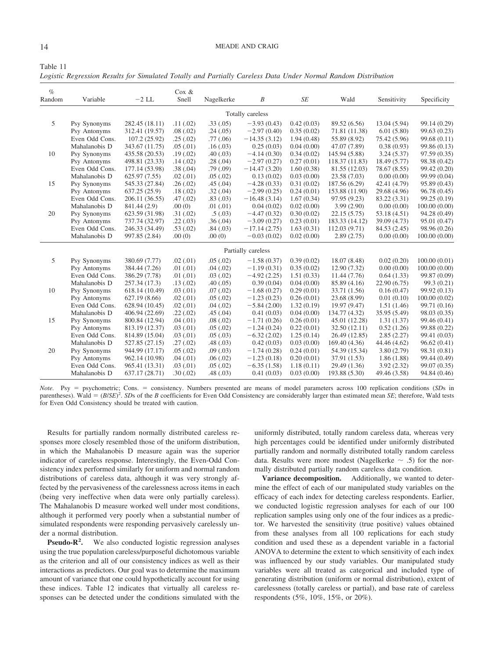#### 14 MEADE AND CRAIG

Table 11 *Logistic Regression Results for Simulated Totally and Partially Careless Data Under Normal Random Distribution*

| $\%$<br>Random | Variable       | $-2$ LL        | Cox &<br>Snell | Nagelkerke | B                  | SE         | Wald           | Sensitivity  | Specificity  |
|----------------|----------------|----------------|----------------|------------|--------------------|------------|----------------|--------------|--------------|
|                |                |                |                |            |                    |            |                |              |              |
|                |                |                |                |            | Totally careless   |            |                |              |              |
| 5              | Psy Synonyms   | 282.45 (18.11) | .11(.02)       | .33(.05)   | $-3.93(0.43)$      | 0.42(0.03) | 89.52 (6.56)   | 13.04 (5.94) | 99.14 (0.29) |
|                | Psy Antonyms   | 312.41 (19.57) | .08(.02)       | .24(.05)   | $-2.97(0.40)$      | 0.35(0.02) | 71.81 (11.38)  | 6.01(5.80)   | 99.63 (0.23) |
|                | Even Odd Cons. | 107.2 (25.92)  | .25(.02)       | .77(.06)   | $-14.35(3.12)$     | 1.94(0.48) | 55.89 (8.92)   | 75.42 (5.96) | 99.68 (0.11) |
|                | Mahalanobis D  | 343.67 (11.75) | .05(.01)       | .16(.03)   | 0.25(0.03)         | 0.04(0.00) | 47.07 (7.89)   | 0.38(0.93)   | 99.86 (0.13) |
| 10             | Psy Synonyms   | 435.58 (20.53) | .19(.02)       | .40(.03)   | $-4.14(0.30)$      | 0.34(0.02) | 145.94 (5.88)  | 3.24(5.37)   | 97.59(0.35)  |
|                | Psy Antonyms   | 498.81 (23.33) | .14(.02)       | .28(.04)   | $-2.97(0.27)$      | 0.27(0.01) | 118.37 (11.83) | 18.49 (5.77) | 98.38 (0.42) |
|                | Even Odd Cons. | 177.14 (53.98) | .38(.04)       | .79(.09)   | $-14.47(3.20)$     | 1.60(0.38) | 81.55 (12.03)  | 78.67 (8.55) | 99.42 (0.20) |
|                | Mahalanobis D  | 625.97(7.55)   | .02(.01)       | .05(.02)   | 0.13(0.02)         | 0.03(0.00) | 23.58 (7.03)   | 0.00(0.00)   | 99.99 (0.04) |
| 15             | Psy Synonyms   | 545.33 (27.84) | .26(.02)       | .45(.04)   | $-4.28(0.33)$      | 0.31(0.02) | 187.56 (6.29)  | 42.41 (4.79) | 95.89 (0.43) |
|                | Psy Antonyms   | 637.25 (25.9)  | .18(.02)       | .32(.04)   | $-2.99(0.25)$      | 0.24(0.01) | 153.88 (11.90) | 29.68 (4.96) | 96.78(0.45)  |
|                | Even Odd Cons. | 206.11 (36.55) | .47(.02)       | .83(.03)   | $-16.48(3.14)$     | 1.67(0.34) | 97.95 (9.23)   | 83.22 (3.31) | 99.25 (0.19) |
|                | Mahalanobis D  | 841.44 (2.9)   | .00(0)         | .01(0.01)  | 0.04(0.02)         | 0.02(0.00) | 3.99(2.90)     | 0.00(0.00)   | 100.00(0.00) |
| 20             | Psy Synonyms   | 623.59 (31.98) | .31(.02)       | .5(.03)    | $-4.47(0.32)$      | 0.30(0.02) | 22.15(5.75)    | 53.18 (4.51) | 94.28 (0.49) |
|                | Psy Antonyms   | 737.74 (32.97) | .22(.03)       | .36(.04)   | $-3.09(0.27)$      | 0.23(0.01) | 183.33 (14.12) | 39.09 (4.73) | 95.01 (0.47) |
|                | Even Odd Cons. | 246.33 (34.49) | .53(.02)       | .84(.03)   | $-17.14(2.75)$     | 1.63(0.31) | 112.03(9.71)   | 84.53 (2.45) | 98.96 (0.26) |
|                | Mahalanobis D  | 997.85 (2.84)  | .00(0)         | .00(0)     | $-0.03(0.02)$      | 0.02(0.00) | 2.89(2.75)     | 0.00(0.00)   | 100.00(0.00) |
|                |                |                |                |            | Partially careless |            |                |              |              |
| 5              | Psy Synonyms   | 380.69 (7.77)  | .02(.01)       | .05(.02)   | $-1.58(0.37)$      | 0.39(0.02) | 18.07 (8.48)   | 0.02(0.20)   | 100.00(0.01) |
|                | Psy Antonyms   | 384.44 (7.26)  | .01(.01)       | .04(.02)   | $-1.19(0.31)$      | 0.35(0.02) | 12.90(7.32)    | 0.00(0.00)   | 100.00(0.00) |
|                | Even Odd Cons. | 386.29 (7.78)  | .01(.01)       | .03(0.02)  | $-4.92(2.25)$      | 1.51(0.33) | 11.44 (7.76)   | 0.64(1.33)   | 99.87 (0.09) |
|                | Mahalanobis D  | 257.34 (17.3)  | .13(.02)       | .40(.05)   | 0.39(0.04)         | 0.04(0.00) | 85.89 (4.16)   | 22.90(6.75)  | 99.3 (0.21)  |
| 10             | Psy Synonyms   | 618.14 (10.49) | .03(0.01)      | .07(.02)   | $-1.68(0.27)$      | 0.29(0.01) | 33.71 (1.56)   | 0.16(0.47)   | 99.92 (0.13) |
|                | Psy Antonyms   | 627.19 (8.66)  | .02(.01)       | .05(.02)   | $-1.23(0.23)$      | 0.26(0.01) | 23.68 (8.99)   | 0.01(0.10)   | 100.00(0.02) |
|                | Even Odd Cons. | 628.94 (10.45) | .02(.01)       | .04(.02)   | $-5.84(2.00)$      | 1.32(0.19) | 19.97 (9.47)   | 1.51(1.46)   | 99.71 (0.16) |
|                | Mahalanobis D  | 406.94 (22.69) | .22(.02)       | .45(.04)   | 0.41(0.03)         | 0.04(0.00) | 134.77 (4.32)  | 35.95 (5.49) | 98.03 (0.35) |
| 15             | Psy Synonyms   | 800.84 (12.94) | .04(.01)       | .08(.02)   | $-1.71(0.26)$      | 0.26(0.01) | 45.01 (12.28)  | 1.31(1.37)   | 99.46 (0.41) |
|                | Psy Antonyms   | 813.19 (12.37) | .03(.01)       | .05(.02)   | $-1.24(0.24)$      | 0.22(0.01) | 32.50 (12.11)  | 0.52(1.26)   | 99.88 (0.22) |
|                | Even Odd Cons. | 814.89 (15.04) | .03(0.01)      | .05(.03)   | $-6.32(2.02)$      | 1.25(0.14) | 26.49 (12.85)  | 2.85(2.27)   | 99.41 (0.03) |
|                | Mahalanobis D  | 527.85 (27.15) | .27(.02)       | .48(.03)   | 0.42(0.03)         | 0.03(0.00) | 169.40(4.36)   | 44.46 (4.62) | 96.62(0.41)  |
| 20             | Psy Synonyms   | 944.99 (17.17) | .05(.02)       | .09(.03)   | $-1.74(0.28)$      | 0.24(0.01) | 54.39 (15.34)  | 3.80(2.79)   | 98.31 (0.81) |
|                | Psy Antonyms   | 962.14 (10.98) | .04(.01)       | .06(.02)   | $-1.23(0.18)$      | 0.20(0.01) | 37.91 (1.53)   | 1.86(1.88)   | 99.44 (0.49) |
|                | Even Odd Cons. | 965.41 (13.31) | .03(0.01)      | .05(.02)   | $-6.35(1.58)$      | 1.18(0.11) | 29.49 (1.36)   | 3.92(2.32)   | 99.07 (0.35) |
|                | Mahalanobis D  | 637.17 (28.71) | .30(.02)       | .48(.03)   | 0.41(0.03)         | 0.03(0.00) | 193.88 (5.30)  | 49.46 (3.58) | 94.84 (0.46) |

*Note.* Psy = psychometric; Cons. = consistency. Numbers presented are means of model parameters across 100 replication conditions (SDs in parentheses). Wald =  $(B/SE)^2$ . *SDs* of the *B* coefficients for Even Odd Consistency are considerably larger than estimated mean *SE*; therefore, Wald tests for Even Odd Consistency should be treated with caution.

Results for partially random normally distributed careless responses more closely resembled those of the uniform distribution, in which the Mahalanobis D measure again was the superior indicator of careless response. Interestingly, the Even-Odd Consistency index performed similarly for uniform and normal random distributions of careless data, although it was very strongly affected by the pervasiveness of the carelessness across items in each (being very ineffective when data were only partially careless). The Mahalanobis D measure worked well under most conditions, although it performed very poorly when a substantial number of simulated respondents were responding pervasively carelessly under a normal distribution.

**Pseudo-R2 .** We also conducted logistic regression analyses using the true population careless/purposeful dichotomous variable as the criterion and all of our consistency indices as well as their interactions as predictors. Our goal was to determine the maximum amount of variance that one could hypothetically account for using these indices. Table 12 indicates that virtually all careless responses can be detected under the conditions simulated with the

uniformly distributed, totally random careless data, whereas very high percentages could be identified under uniformly distributed partially random and normally distributed totally random careless data. Results were more modest (Nagelkerke  $\sim$  .5) for the normally distributed partially random careless data condition.

**Variance decomposition.** Additionally, we wanted to determine the effect of each of our manipulated study variables on the efficacy of each index for detecting careless respondents. Earlier, we conducted logistic regression analyses for each of our 100 replication samples using only one of the four indices as a predictor. We harvested the sensitivity (true positive) values obtained from these analyses from all 100 replications for each study condition and used these as a dependent variable in a factorial ANOVA to determine the extent to which sensitivity of each index was influenced by our study variables. Our manipulated study variables were all treated as categorical and included type of generating distribution (uniform or normal distribution), extent of carelessness (totally careless or partial), and base rate of careless respondents (5%, 10%, 15%, or 20%).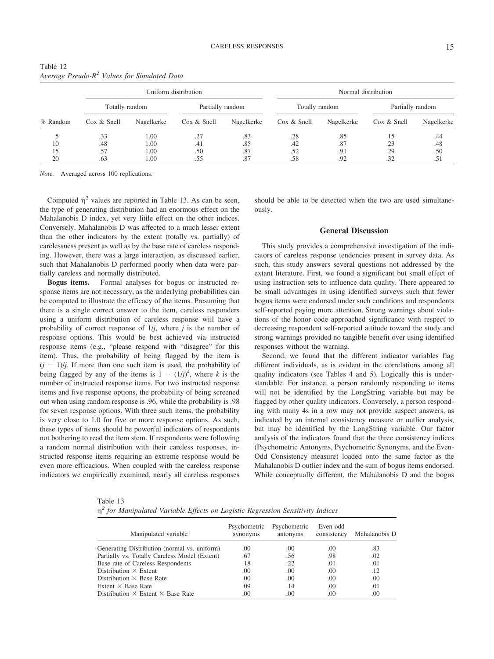|                |                 |            | Uniform distribution |            | Normal distribution |            |                  |            |  |  |
|----------------|-----------------|------------|----------------------|------------|---------------------|------------|------------------|------------|--|--|
| Totally random |                 |            | Partially random     |            | Totally random      |            | Partially random |            |  |  |
| % Random       | $\cos \&$ Snell | Nagelkerke | $\cos \&$ Snell      | Nagelkerke | $\cos \&$ Snell     | Nagelkerke | $\cos \&$ Snell  | Nagelkerke |  |  |
|                | .33             | 1.00       | .27                  | .83        | .28                 | .85        | .15              | .44        |  |  |
| 10             | .48             | 1.00       | .41                  | .85        | .42                 | .87        | .23              | .48        |  |  |
| 15             | .57             | 1.00       | .50                  | .87        | .52                 | .91        | .29              | .50        |  |  |
| 20             | .63             | 1.00       | .55                  | .87        | .58                 | .92        | .32              | .51        |  |  |

Table 12 *Average Pseudo-R2 Values for Simulated Data*

*Note.* Averaged across 100 replications.

Computed  $\eta^2$  values are reported in Table 13. As can be seen, the type of generating distribution had an enormous effect on the Mahalanobis D index, yet very little effect on the other indices. Conversely, Mahalanobis D was affected to a much lesser extent than the other indicators by the extent (totally vs. partially) of carelessness present as well as by the base rate of careless responding. However, there was a large interaction, as discussed earlier, such that Mahalanobis D performed poorly when data were partially careless and normally distributed.

**Bogus items.** Formal analyses for bogus or instructed response items are not necessary, as the underlying probabilities can be computed to illustrate the efficacy of the items. Presuming that there is a single correct answer to the item, careless responders using a uniform distribution of careless response will have a probability of correct response of 1/*j*, where *j* is the number of response options. This would be best achieved via instructed response items (e.g., "please respond with "disagree" for this item). Thus, the probability of being flagged by the item is  $(j - 1)/j$ . If more than one such item is used, the probability of being flagged by any of the items is  $1 - (1/j)^k$ , where *k* is the number of instructed response items. For two instructed response items and five response options, the probability of being screened out when using random response is .96, while the probability is .98 for seven response options. With three such items, the probability is very close to 1.0 for five or more response options. As such, these types of items should be powerful indicators of respondents not bothering to read the item stem. If respondents were following a random normal distribution with their careless responses, instructed response items requiring an extreme response would be even more efficacious. When coupled with the careless response indicators we empirically examined, nearly all careless responses

should be able to be detected when the two are used simultaneously.

#### **General Discussion**

This study provides a comprehensive investigation of the indicators of careless response tendencies present in survey data. As such, this study answers several questions not addressed by the extant literature. First, we found a significant but small effect of using instruction sets to influence data quality. There appeared to be small advantages in using identified surveys such that fewer bogus items were endorsed under such conditions and respondents self-reported paying more attention. Strong warnings about violations of the honor code approached significance with respect to decreasing respondent self-reported attitude toward the study and strong warnings provided no tangible benefit over using identified responses without the warning.

Second, we found that the different indicator variables flag different individuals, as is evident in the correlations among all quality indicators (see Tables 4 and 5). Logically this is understandable. For instance, a person randomly responding to items will not be identified by the LongString variable but may be flagged by other quality indicators. Conversely, a person responding with many 4s in a row may not provide suspect answers, as indicated by an internal consistency measure or outlier analysis, but may be identified by the LongString variable. Our factor analysis of the indicators found that the three consistency indices (Psychometric Antonyms, Psychometric Synonyms, and the Even-Odd Consistency measure) loaded onto the same factor as the Mahalanobis D outlier index and the sum of bogus items endorsed. While conceptually different, the Mahalanobis D and the bogus

| ۰,<br>v. |  |
|----------|--|
|----------|--|

*<sup>2</sup> for Manipulated Variable Effects on Logistic Regression Sensitivity Indices*

| Manipulated variable                            | Psychometric<br>synonyms | Psychometric<br>antonyms | Even-odd<br>consistency | Mahalanobis D |
|-------------------------------------------------|--------------------------|--------------------------|-------------------------|---------------|
| Generating Distribution (normal vs. uniform)    | .00.                     | .00.                     | .00                     | .83           |
| Partially vs. Totally Careless Model (Extent)   | .67                      | .56                      | .98                     | .02           |
| Base rate of Careless Respondents               | .18                      | .22                      | .01                     | .01           |
| Distribution $\times$ Extent                    | .00.                     | .00.                     | .00                     | .12           |
| Distribution $\times$ Base Rate                 | .00.                     | .00.                     | .00                     | .00           |
| Extent $\times$ Base Rate                       | .09                      | .14                      | .00                     | .01           |
| Distribution $\times$ Extent $\times$ Base Rate | .00                      | .00                      | .00                     | .00           |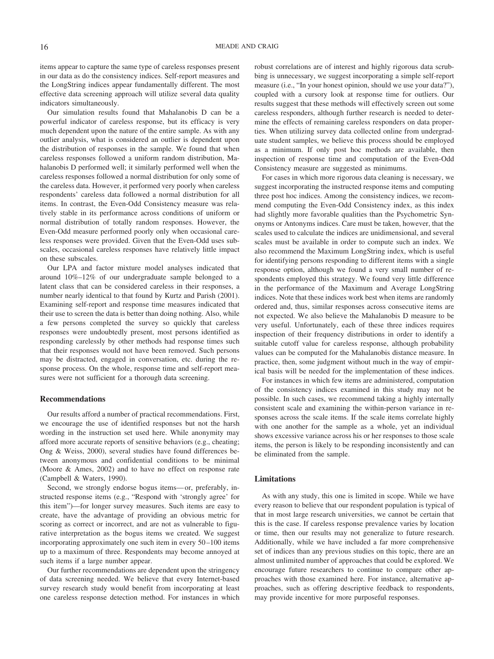items appear to capture the same type of careless responses present in our data as do the consistency indices. Self-report measures and the LongString indices appear fundamentally different. The most effective data screening approach will utilize several data quality indicators simultaneously.

Our simulation results found that Mahalanobis D can be a powerful indicator of careless response, but its efficacy is very much dependent upon the nature of the entire sample. As with any outlier analysis, what is considered an outlier is dependent upon the distribution of responses in the sample. We found that when careless responses followed a uniform random distribution, Mahalanobis D performed well; it similarly performed well when the careless responses followed a normal distribution for only some of the careless data. However, it performed very poorly when careless respondents' careless data followed a normal distribution for all items. In contrast, the Even-Odd Consistency measure was relatively stable in its performance across conditions of uniform or normal distribution of totally random responses. However, the Even-Odd measure performed poorly only when occasional careless responses were provided. Given that the Even-Odd uses subscales, occasional careless responses have relatively little impact on these subscales.

Our LPA and factor mixture model analyses indicated that around 10%–12% of our undergraduate sample belonged to a latent class that can be considered careless in their responses, a number nearly identical to that found by Kurtz and Parish (2001). Examining self-report and response time measures indicated that their use to screen the data is better than doing nothing. Also, while a few persons completed the survey so quickly that careless responses were undoubtedly present, most persons identified as responding carelessly by other methods had response times such that their responses would not have been removed. Such persons may be distracted, engaged in conversation, etc. during the response process. On the whole, response time and self-report measures were not sufficient for a thorough data screening.

#### **Recommendations**

Our results afford a number of practical recommendations. First, we encourage the use of identified responses but not the harsh wording in the instruction set used here. While anonymity may afford more accurate reports of sensitive behaviors (e.g., cheating; Ong & Weiss, 2000), several studies have found differences between anonymous and confidential conditions to be minimal (Moore & Ames, 2002) and to have no effect on response rate (Campbell & Waters, 1990).

Second, we strongly endorse bogus items— or, preferably, instructed response items (e.g., "Respond with 'strongly agree' for this item")—for longer survey measures. Such items are easy to create, have the advantage of providing an obvious metric for scoring as correct or incorrect, and are not as vulnerable to figurative interpretation as the bogus items we created. We suggest incorporating approximately one such item in every 50–100 items up to a maximum of three. Respondents may become annoyed at such items if a large number appear.

Our further recommendations are dependent upon the stringency of data screening needed. We believe that every Internet-based survey research study would benefit from incorporating at least one careless response detection method. For instances in which robust correlations are of interest and highly rigorous data scrubbing is unnecessary, we suggest incorporating a simple self-report measure (i.e., "In your honest opinion, should we use your data?"), coupled with a cursory look at response time for outliers. Our results suggest that these methods will effectively screen out some careless responders, although further research is needed to determine the effects of remaining careless responders on data properties. When utilizing survey data collected online from undergraduate student samples, we believe this process should be employed as a minimum. If only post hoc methods are available, then inspection of response time and computation of the Even-Odd Consistency measure are suggested as minimums.

For cases in which more rigorous data cleaning is necessary, we suggest incorporating the instructed response items and computing three post hoc indices. Among the consistency indices, we recommend computing the Even-Odd Consistency index, as this index had slightly more favorable qualities than the Psychometric Synonyms or Antonyms indices. Care must be taken, however, that the scales used to calculate the indices are unidimensional, and several scales must be available in order to compute such an index. We also recommend the Maximum LongString index, which is useful for identifying persons responding to different items with a single response option, although we found a very small number of respondents employed this strategy. We found very little difference in the performance of the Maximum and Average LongString indices. Note that these indices work best when items are randomly ordered and, thus, similar responses across consecutive items are not expected. We also believe the Mahalanobis D measure to be very useful. Unfortunately, each of these three indices requires inspection of their frequency distributions in order to identify a suitable cutoff value for careless response, although probability values can be computed for the Mahalanobis distance measure. In practice, then, some judgment without much in the way of empirical basis will be needed for the implementation of these indices.

For instances in which few items are administered, computation of the consistency indices examined in this study may not be possible. In such cases, we recommend taking a highly internally consistent scale and examining the within-person variance in responses across the scale items. If the scale items correlate highly with one another for the sample as a whole, yet an individual shows excessive variance across his or her responses to those scale items, the person is likely to be responding inconsistently and can be eliminated from the sample.

#### **Limitations**

As with any study, this one is limited in scope. While we have every reason to believe that our respondent population is typical of that in most large research universities, we cannot be certain that this is the case. If careless response prevalence varies by location or time, then our results may not generalize to future research. Additionally, while we have included a far more comprehensive set of indices than any previous studies on this topic, there are an almost unlimited number of approaches that could be explored. We encourage future researchers to continue to compare other approaches with those examined here. For instance, alternative approaches, such as offering descriptive feedback to respondents, may provide incentive for more purposeful responses.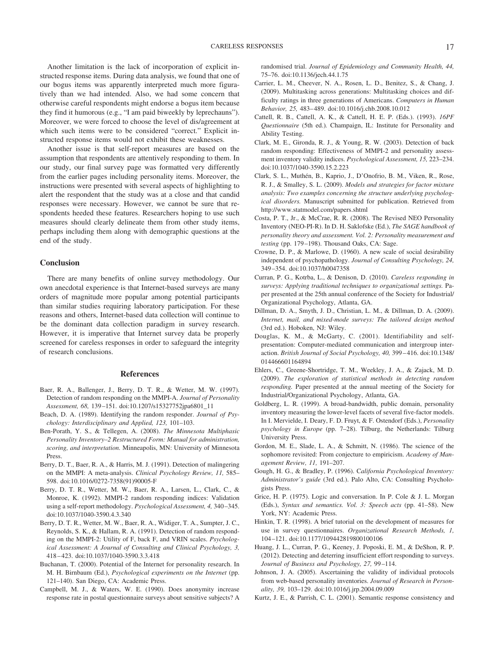Another limitation is the lack of incorporation of explicit instructed response items. During data analysis, we found that one of our bogus items was apparently interpreted much more figuratively than we had intended. Also, we had some concern that otherwise careful respondents might endorse a bogus item because they find it humorous (e.g., "I am paid biweekly by leprechauns"). Moreover, we were forced to choose the level of dis/agreement at which such items were to be considered "correct." Explicit instructed response items would not exhibit these weaknesses.

Another issue is that self-report measures are based on the assumption that respondents are attentively responding to them. In our study, our final survey page was formatted very differently from the earlier pages including personality items. Moreover, the instructions were presented with several aspects of highlighting to alert the respondent that the study was at a close and that candid responses were necessary. However, we cannot be sure that respondents heeded these features. Researchers hoping to use such measures should clearly delineate them from other study items, perhaps including them along with demographic questions at the end of the study.

#### **Conclusion**

There are many benefits of online survey methodology. Our own anecdotal experience is that Internet-based surveys are many orders of magnitude more popular among potential participants than similar studies requiring laboratory participation. For these reasons and others, Internet-based data collection will continue to be the dominant data collection paradigm in survey research. However, it is imperative that Internet survey data be properly screened for careless responses in order to safeguard the integrity of research conclusions.

#### **References**

- Baer, R. A., Ballenger, J., Berry, D. T. R., & Wetter, M. W. (1997). Detection of random responding on the MMPI-A. *Journal of Personality Assessment, 68,* 139 –151. doi:10.1207/s15327752jpa6801\_11
- Beach, D. A. (1989). Identifying the random responder. *Journal of Psychology: Interdisciplinary and Applied, 123,* 101–103.
- Ben-Porath, Y. S., & Tellegen, A. (2008). *The Minnesota Multiphasic Personality Inventory–2 Restructured Form: Manual for administration, scoring, and interpretation.* Minneapolis, MN: University of Minnesota Press.
- Berry, D. T., Baer, R. A., & Harris, M. J. (1991). Detection of malingering on the MMPI: A meta-analysis. *Clinical Psychology Review, 11,* 585– 598. doi:10.1016/0272-7358(91)90005-F
- Berry, D. T. R., Wetter, M. W., Baer, R. A., Larsen, L., Clark, C., & Monroe, K. (1992). MMPI-2 random responding indices: Validation using a self-report methodology. *Psychological Assessment, 4,* 340 –345. doi:10.1037/1040-3590.4.3.340
- Berry, D. T. R., Wetter, M. W., Baer, R. A., Widiger, T. A., Sumpter, J. C., Reynolds, S. K., & Hallam, R. A. (1991). Detection of random responding on the MMPI-2: Utility of F, back F, and VRIN scales. *Psychological Assessment: A Journal of Consulting and Clinical Psychology, 3,* 418 – 423. doi:10.1037/1040-3590.3.3.418
- Buchanan, T. (2000). Potential of the Internet for personality research. In M. H. Birnbaum (Ed.), *Psychological experiments on the Internet* (pp. 121–140). San Diego, CA: Academic Press.
- Campbell, M. J., & Waters, W. E. (1990). Does anonymity increase response rate in postal questionnaire surveys about sensitive subjects? A

randomised trial. *Journal of Epidemiology and Community Health, 44,* 75–76. doi:10.1136/jech.44.1.75

- Carrier, L. M., Cheever, N. A., Rosen, L. D., Benitez, S., & Chang, J. (2009). Multitasking across generations: Multitasking choices and difficulty ratings in three generations of Americans. *Computers in Human Behavior, 25,* 483– 489. doi:10.1016/j.chb.2008.10.012
- Cattell, R. B., Cattell, A. K., & Cattell, H. E. P. (Eds.). (1993). *16PF Questionnaire* (5th ed.)*.* Champaign, IL: Institute for Personality and Ability Testing.
- Clark, M. E., Gironda, R. J., & Young, R. W. (2003). Detection of back random responding: Effectiveness of MMPI-2 and personality assessment inventory validity indices. *Psychological Assessment, 15,* 223–234. doi:10.1037/1040-3590.15.2.223
- Clark, S. L., Muthén, B., Kaprio, J., D'Onofrio, B. M., Viken, R., Rose, R. J., & Smalley, S. L. (2009). *Models and strategies for factor mixture analysis: Two examples concerning the structure underlying psychological disorders.* Manuscript submitted for publication. Retrieved from http://www.statmodel.com/papers.shtml
- Costa, P. T., Jr., & McCrae, R. R. (2008). The Revised NEO Personality Inventory (NEO-PI-R). In D. H. Saklofske (Ed.), *The SAGE handbook of personality theory and assessment. Vol. 2: Personality measurement and testing* (pp. 179 –198). Thousand Oaks, CA: Sage.
- Crowne, D. P., & Marlowe, D. (1960). A new scale of social desirability independent of psychopathology. *Journal of Consulting Psychology, 24,* 349 –354. doi:10.1037/h0047358
- Curran, P. G., Kotrba, L., & Denison, D. (2010). *Careless responding in surveys: Applying traditional techniques to organizational settings.* Paper presented at the 25th annual conference of the Society for Industrial/ Organizational Psychology, Atlanta, GA.
- Dillman, D. A., Smyth, J. D., Christian, L. M., & Dillman, D. A. (2009). *Internet, mail, and mixed-mode surveys: The tailored design method* (3rd ed.). Hoboken, NJ: Wiley.
- Douglas, K. M., & McGarty, C. (2001). Identifiability and selfpresentation: Computer-mediated communication and intergroup interaction. *British Journal of Social Psychology, 40,* 399 – 416. doi:10.1348/ 014466601164894
- Ehlers, C., Greene-Shortridge, T. M., Weekley, J. A., & Zajack, M. D. (2009). *The exploration of statistical methods in detecting random responding.* Paper presented at the annual meeting of the Society for Industrial/Organizational Psychology, Atlanta, GA.
- Goldberg, L. R. (1999). A broad-bandwidth, public domain, personality inventory measuring the lower-level facets of several five-factor models. In I. Mervielde, I. Deary, F. D. Fruyt, & F. Ostendorf (Eds.), *Personality psychology in Europe* (pp. 7–28). Tilburg, the Netherlands: Tilburg University Press.
- Gordon, M. E., Slade, L. A., & Schmitt, N. (1986). The science of the sophomore revisited: From conjecture to empiricism. *Academy of Management Review, 11,* 191–207.
- Gough, H. G., & Bradley, P. (1996). C*alifornia Psychological Inventory: Administrator's guide* (3rd ed.). Palo Alto, CA: Consulting Psychologists Press.
- Grice, H. P. (1975). Logic and conversation. In P. Cole & J. L. Morgan (Eds.), *Syntax and semantics. Vol. 3: Speech acts* (pp. 41–58). New York, NY: Academic Press.
- Hinkin, T. R. (1998). A brief tutorial on the development of measures for use in survey questionnaires. *Organizational Research Methods, 1,* 104 –121. doi:10.1177/109442819800100106
- Huang, J. L., Curran, P. G., Keeney, J. Poposki, E. M., & DeShon, R. P. (2012). Detecting and deterring insufficient effort responding to surveys. *Journal of Business and Psychology, 27,* 99 –114.
- Johnson, J. A. (2005). Ascertaining the validity of individual protocols from web-based personality inventories. *Journal of Research in Personality, 39,* 103–129. doi:10.1016/j.jrp.2004.09.009
- Kurtz, J. E., & Parrish, C. L. (2001). Semantic response consistency and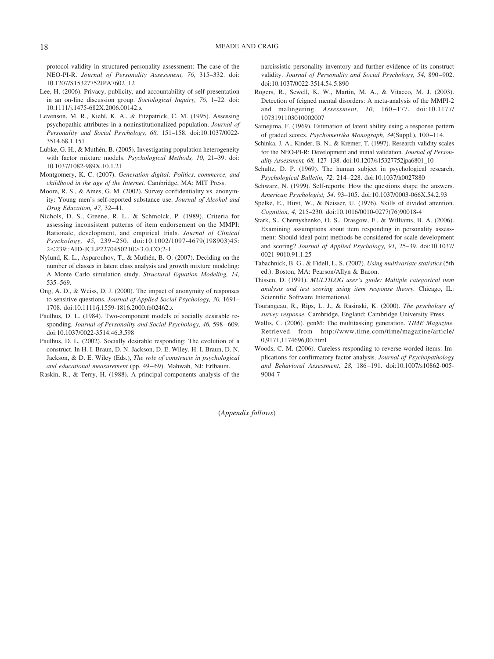protocol validity in structured personality assessment: The case of the NEO-PI-R. *Journal of Personality Assessment, 76,* 315–332. doi: 10.1207/S15327752JPA7602\_12

- Lee, H. (2006). Privacy, publicity, and accountability of self-presentation in an on-line discussion group. *Sociological Inquiry, 76,* 1–22. doi: 10.1111/j.1475-682X.2006.00142.x
- Levenson, M. R., Kiehl, K. A., & Fitzpatrick, C. M. (1995). Assessing psychopathic attributes in a noninstitutionalized population. *Journal of Personality and Social Psychology, 68,* 151–158. doi:10.1037/0022- 3514.68.1.151
- Lubke, G. H., & Muthén, B. (2005). Investigating population heterogeneity with factor mixture models. *Psychological Methods, 10,* 21–39. doi: 10.1037/1082-989X.10.1.21
- Montgomery, K. C. (2007). *Generation digital: Politics, commerce, and childhood in the age of the Internet.* Cambridge, MA: MIT Press.
- Moore, R. S., & Ames, G. M. (2002). Survey confidentiality vs. anonymity: Young men's self-reported substance use. *Journal of Alcohol and Drug Education, 47,* 32– 41.
- Nichols, D. S., Greene, R. L., & Schmolck, P. (1989). Criteria for assessing inconsistent patterns of item endorsement on the MMPI: Rationale, development, and empirical trials. *Journal of Clinical Psychology, 45,* 239 –250. doi:10.1002/1097-4679(198903)45: 2239::AID-JCLP22704502103.0.CO;2-1
- Nylund, K. L., Asparouhov, T., & Muthén, B. O. (2007). Deciding on the number of classes in latent class analysis and growth mixture modeling: A Monte Carlo simulation study. *Structural Equation Modeling, 14,* 535–569.
- Ong, A. D., & Weiss, D. J. (2000). The impact of anonymity of responses to sensitive questions. *Journal of Applied Social Psychology, 30,* 1691– 1708. doi:10.1111/j.1559-1816.2000.tb02462.x
- Paulhus, D. L. (1984). Two-component models of socially desirable responding. *Journal of Personality and Social Psychology, 46, 598-609.* doi:10.1037/0022-3514.46.3.598
- Paulhus, D. L. (2002). Socially desirable responding: The evolution of a construct. In H. I. Braun, D. N. Jackson, D. E. Wiley, H. I. Braun, D. N. Jackson, & D. E. Wiley (Eds.), *The role of constructs in psychological and educational measurement* (pp. 49 – 69). Mahwah, NJ: Erlbaum.
- Raskin, R., & Terry, H. (1988). A principal-components analysis of the

narcissistic personality inventory and further evidence of its construct validity. *Journal of Personality and Social Psychology, 54, 890-902*. doi:10.1037/0022-3514.54.5.890

- Rogers, R., Sewell, K. W., Martin, M. A., & Vitacco, M. J. (2003). Detection of feigned mental disorders: A meta-analysis of the MMPI-2 and malingering. Assessment, 10, 160-177. doi:10.1177/ 1073191103010002007
- Samejima, F. (1969). Estimation of latent ability using a response pattern of graded scores. *Psychometrika Monograph, 34*(Suppl.), 100 –114.
- Schinka, J. A., Kinder, B. N., & Kremer, T. (1997). Research validity scales for the NEO-PI-R: Development and initial validation. *Journal of Personality Assessment, 68,* 127–138. doi:10.1207/s15327752jpa6801\_10
- Schultz, D. P. (1969). The human subject in psychological research. *Psychological Bulletin, 72,* 214 –228. doi:10.1037/h0027880
- Schwarz, N. (1999). Self-reports: How the questions shape the answers. *American Psychologist, 54,* 93–105. doi:10.1037/0003-066X.54.2.93
- Spelke, E., Hirst, W., & Neisser, U. (1976). Skills of divided attention. *Cognition, 4,* 215–230. doi:10.1016/0010-0277(76)90018-4
- Stark, S., Chernyshenko, O. S., Drasgow, F., & Williams, B. A. (2006). Examining assumptions about item responding in personality assessment: Should ideal point methods be considered for scale development and scoring? *Journal of Applied Psychology, 91,* 25–39. doi:10.1037/ 0021-9010.91.1.25
- Tabachnick, B. G., & Fidell, L. S. (2007). *Using multivariate statistics* (5th ed.). Boston, MA: Pearson/Allyn & Bacon.
- Thissen, D. (1991). *MULTILOG user's guide: Multiple categorical item analysis and test scoring using item response theory.* Chicago, IL: Scientific Software International.
- Tourangeau, R., Rips, L. J., & Rasinski, K. (2000). *The psychology of survey response.* Cambridge, England: Cambridge University Press.
- Wallis, C. (2006). genM: The multitasking generation. *TIME Magazine.* Retrieved from http://www.time.com/time/magazine/article/ 0,9171,1174696,00.html
- Woods, C. M. (2006). Careless responding to reverse-worded items: Implications for confirmatory factor analysis. *Journal of Psychopathology and Behavioral Assessment, 28,* 186 –191. doi:10.1007/s10862-005- 9004-7

(*Appendix follows*)